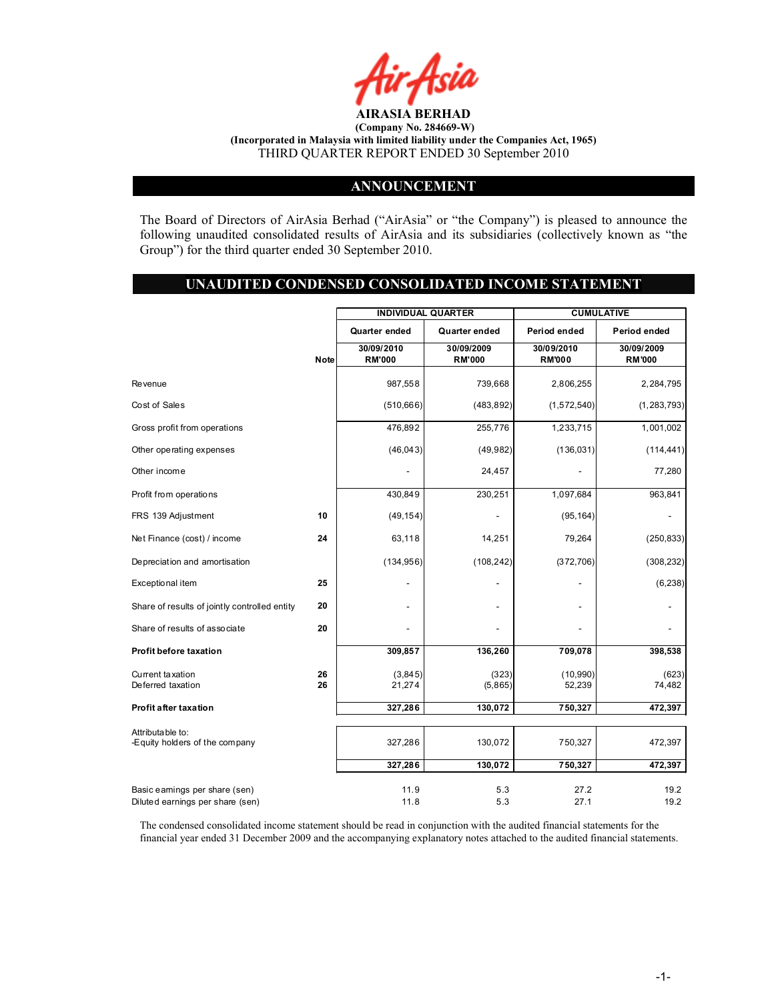

#### ANNOUNCEMENT

The Board of Directors of AirAsia Berhad ("AirAsia" or "the Company") is pleased to announce the following unaudited consolidated results of AirAsia and its subsidiaries (collectively known as "the Group") for the third quarter ended 30 September 2010.

#### UNAUDITED CONDENSED CONSOLIDATED INCOME STATEMENT

|                                                                   |             |                             | <b>INDIVIDUAL QUARTER</b>   |                             | <b>CUMULATIVE</b>           |
|-------------------------------------------------------------------|-------------|-----------------------------|-----------------------------|-----------------------------|-----------------------------|
|                                                                   |             | Quarter ended               | Quarter ended               | Period ended                | Period ended                |
|                                                                   | <b>Note</b> | 30/09/2010<br><b>RM'000</b> | 30/09/2009<br><b>RM'000</b> | 30/09/2010<br><b>RM'000</b> | 30/09/2009<br><b>RM'000</b> |
| <b>Revenue</b>                                                    |             | 987,558                     | 739,668                     | 2,806,255                   | 2,284,795                   |
| Cost of Sales                                                     |             | (510, 666)                  | (483, 892)                  | (1,572,540)                 | (1, 283, 793)               |
| Gross profit from operations                                      |             | 476,892                     | 255,776                     | 1,233,715                   | 1,001,002                   |
| Other operating expenses                                          |             | (46, 043)                   | (49, 982)                   | (136, 031)                  | (114, 441)                  |
| Other income                                                      |             |                             | 24,457                      |                             | 77,280                      |
| Profit from operations                                            |             | 430,849                     | 230,251                     | 1,097,684                   | 963,841                     |
| FRS 139 Adjustment                                                | 10          | (49, 154)                   |                             | (95, 164)                   |                             |
| Net Finance (cost) / income                                       | 24          | 63,118                      | 14,251                      | 79,264                      | (250, 833)                  |
| Depreciation and amortisation                                     |             | (134, 956)                  | (108, 242)                  | (372, 706)                  | (308, 232)                  |
| Exceptional item                                                  | 25          |                             |                             |                             | (6, 238)                    |
| Share of results of jointly controlled entity                     | 20          |                             |                             | ٠                           |                             |
| Share of results of associate                                     | 20          |                             |                             |                             |                             |
| <b>Profit before taxation</b>                                     |             | 309,857                     | 136,260                     | 709,078                     | 398,538                     |
| Current taxation<br>Deferred taxation                             | 26<br>26    | (3,845)<br>21,274           | (323)<br>(5,865)            | (10, 990)<br>52,239         | (623)<br>74,482             |
| Profit after taxation                                             |             | 327,286                     | 130,072                     | 750,327                     | 472,397                     |
| Attributable to:<br>-Equity holders of the company                |             | 327,286                     | 130,072                     | 750,327                     | 472,397                     |
|                                                                   |             | 327,286                     | 130,072                     | 750,327                     | 472,397                     |
| Basic eamings per share (sen)<br>Diluted earnings per share (sen) |             | 11.9<br>11.8                | 5.3<br>5.3                  | 27.2<br>27.1                | 19.2<br>19.2                |

The condensed consolidated income statement should be read in conjunction with the audited financial statements for the financial year ended 31 December 2009 and the accompanying explanatory notes attached to the audited financial statements.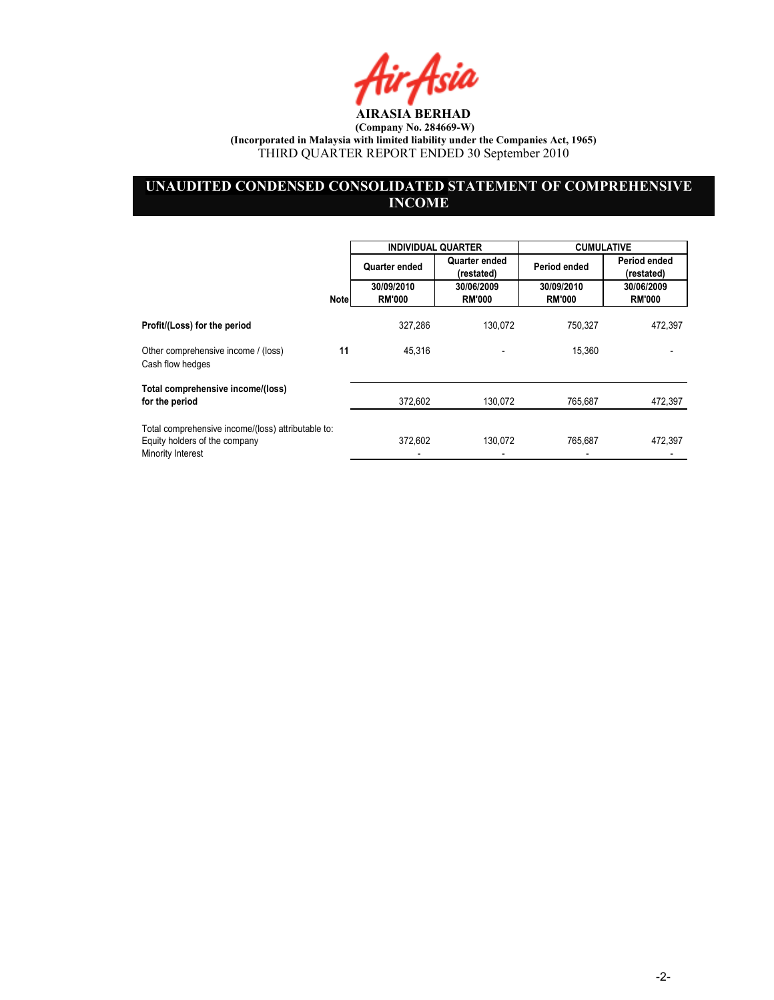fir Asia

# UNAUDITED CONDENSED CONSOLIDATED STATEMENT OF COMPREHENSIVE **INCOME**

|                                                                                                          |             | <b>INDIVIDUAL QUARTER</b> |                             | <b>CUMULATIVE</b> |                            |
|----------------------------------------------------------------------------------------------------------|-------------|---------------------------|-----------------------------|-------------------|----------------------------|
|                                                                                                          |             | Quarter ended             | Quarter ended<br>(restated) | Period ended      | Period ended<br>(restated) |
|                                                                                                          |             | 30/09/2010                | 30/06/2009                  | 30/09/2010        | 30/06/2009                 |
|                                                                                                          | <b>Note</b> | <b>RM'000</b>             | <b>RM'000</b>               | <b>RM'000</b>     | <b>RM'000</b>              |
| Profit/(Loss) for the period                                                                             |             | 327,286                   | 130.072                     | 750.327           | 472,397                    |
| Other comprehensive income / (loss)<br>Cash flow hedges                                                  | 11          | 45,316                    |                             | 15,360            |                            |
| Total comprehensive income/(loss)                                                                        |             |                           |                             |                   |                            |
| for the period                                                                                           |             | 372,602                   | 130,072                     | 765.687           | 472,397                    |
| Total comprehensive income/(loss) attributable to:<br>Equity holders of the company<br>Minority Interest |             | 372.602                   | 130.072                     | 765.687           | 472,397                    |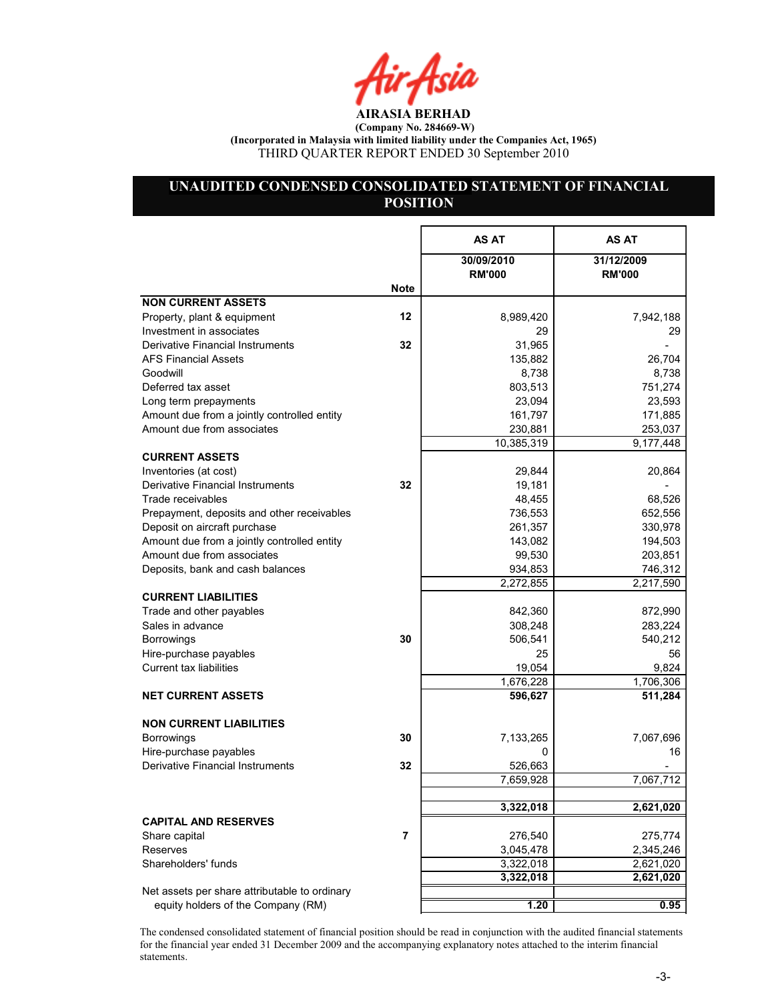4ir Asia

# UNAUDITED CONDENSED CONSOLIDATED STATEMENT OF FINANCIAL **POSITION**

|                                                        |             | AS AT                       | AS AT                       |
|--------------------------------------------------------|-------------|-----------------------------|-----------------------------|
|                                                        |             | 30/09/2010<br><b>RM'000</b> | 31/12/2009<br><b>RM'000</b> |
|                                                        | <b>Note</b> |                             |                             |
| <b>NON CURRENT ASSETS</b>                              |             |                             |                             |
| Property, plant & equipment                            | 12          | 8,989,420                   | 7,942,188                   |
| Investment in associates                               |             | 29                          | 29                          |
| Derivative Financial Instruments                       | 32          | 31,965                      |                             |
| <b>AFS Financial Assets</b>                            |             | 135,882                     | 26,704                      |
| Goodwill                                               |             | 8,738                       | 8,738                       |
| Deferred tax asset                                     |             | 803,513                     | 751,274                     |
| Long term prepayments                                  |             | 23,094                      | 23,593                      |
| Amount due from a jointly controlled entity            |             | 161,797                     | 171,885                     |
| Amount due from associates                             |             | 230,881                     | 253,037                     |
|                                                        |             | 10,385,319                  | 9,177,448                   |
| <b>CURRENT ASSETS</b>                                  |             |                             |                             |
| Inventories (at cost)                                  |             | 29,844                      | 20,864                      |
| Derivative Financial Instruments                       | 32          | 19,181                      |                             |
| Trade receivables                                      |             | 48,455                      | 68,526                      |
| Prepayment, deposits and other receivables             |             | 736,553                     | 652,556                     |
| Deposit on aircraft purchase                           |             | 261,357                     | 330,978                     |
| Amount due from a jointly controlled entity            |             | 143,082                     | 194,503                     |
| Amount due from associates                             |             | 99,530                      | 203,851                     |
| Deposits, bank and cash balances                       |             | 934,853                     | 746,312                     |
|                                                        |             | 2,272,855                   | 2,217,590                   |
| <b>CURRENT LIABILITIES</b><br>Trade and other payables |             | 842,360                     | 872,990                     |
| Sales in advance                                       |             | 308,248                     | 283,224                     |
|                                                        | 30          |                             | 540,212                     |
| <b>Borrowings</b><br>Hire-purchase payables            |             | 506,541<br>25               | 56                          |
| Current tax liabilities                                |             | 19,054                      | 9,824                       |
|                                                        |             | 1,676,228                   | 1,706,306                   |
| <b>NET CURRENT ASSETS</b>                              |             | 596,627                     | 511,284                     |
|                                                        |             |                             |                             |
| <b>NON CURRENT LIABILITIES</b>                         |             |                             |                             |
| <b>Borrowings</b>                                      | 30          | 7,133,265                   | 7,067,696                   |
| Hire-purchase payables                                 |             | 0                           | 16                          |
| <b>Derivative Financial Instruments</b>                | 32          | 526,663                     |                             |
|                                                        |             | 7,659,928                   | 7,067,712                   |
|                                                        |             |                             |                             |
|                                                        |             | 3,322,018                   | 2,621,020                   |
| <b>CAPITAL AND RESERVES</b>                            |             |                             |                             |
| Share capital                                          | 7           | 276,540                     | 275,774                     |
| <b>Reserves</b>                                        |             | 3,045,478                   | 2,345,246                   |
| Shareholders' funds                                    |             | 3,322,018                   | 2,621,020                   |
|                                                        |             | 3,322,018                   | 2,621,020                   |
| Net assets per share attributable to ordinary          |             |                             |                             |
| equity holders of the Company (RM)                     |             | 1.20                        | 0.95                        |

The condensed consolidated statement of financial position should be read in conjunction with the audited financial statements for the financial year ended 31 December 2009 and the accompanying explanatory notes attached to the interim financial statements.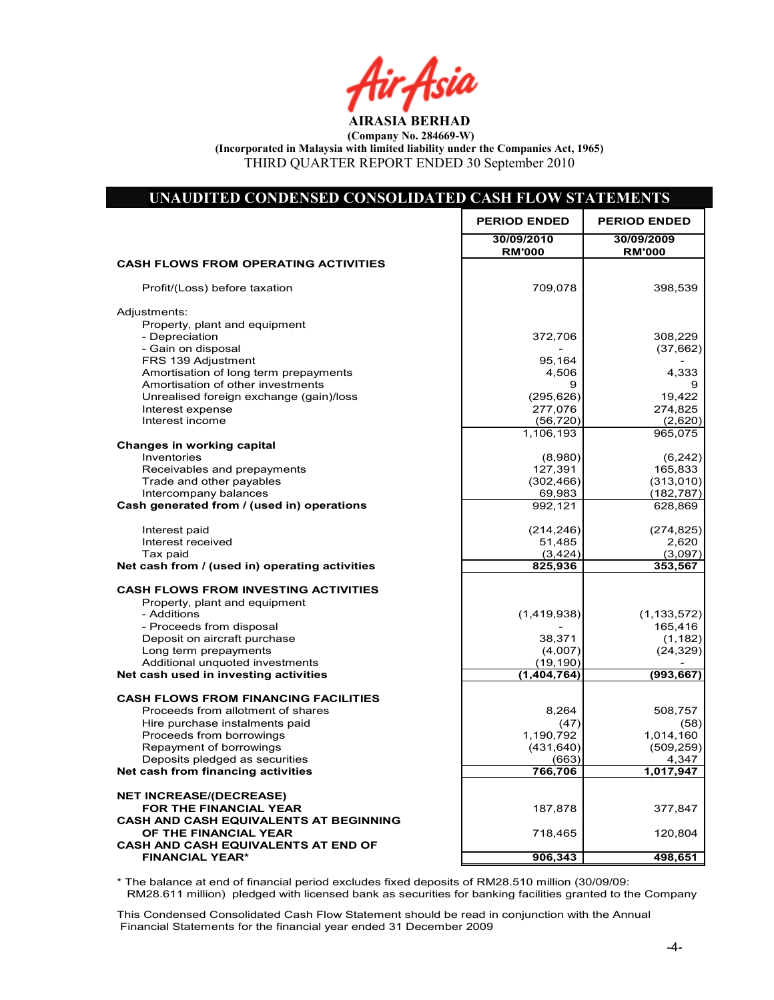ir Asia

AIRASIA BERHAD (Company No. 284669-W)

(Incorporated in Malaysia with limited liability under the Companies Act, 1965)

THIRD QUARTER REPORT ENDED 30 September 2010

| <b>PERIOD ENDED</b><br><b>PERIOD ENDED</b><br>30/09/2010<br>30/09/2009<br><b>RM'000</b><br><b>RM'000</b><br><b>CASH FLOWS FROM OPERATING ACTIVITIES</b><br>709,078<br>398,539<br>Profit/(Loss) before taxation<br>Adjustments:<br>Property, plant and equipment<br>- Depreciation<br>308,229<br>372,706<br>- Gain on disposal<br>(37,662)<br>FRS 139 Adjustment<br>95,164<br>Amortisation of long term prepayments<br>4,506<br>4,333<br>Amortisation of other investments<br>9<br>9<br>Unrealised foreign exchange (gain)/loss<br>(295, 626)<br>19,422<br>Interest expense<br>277,076<br>274,825<br>Interest income<br>(56, 720)<br>(2,620)<br>1,106,193<br>965,075<br>Changes in working capital<br>Inventories<br>(8,980)<br>127,391<br>165,833<br>Receivables and prepayments<br>(313, 010)<br>Trade and other payables<br>(302, 466)<br>Intercompany balances<br>69,983<br>(182, 787)<br>Cash generated from / (used in) operations<br>628,869<br>992,121<br>(214, 246)<br>Interest paid<br>Interest received<br>51,485<br>2,620<br>Tax paid<br>(3, 424)<br>(3,097)<br>Net cash from / (used in) operating activities<br>825,936<br>353,567<br><b>CASH FLOWS FROM INVESTING ACTIVITIES</b><br>Property, plant and equipment<br>- Additions<br>(1,419,938)<br>- Proceeds from disposal<br>165,416<br>Deposit on aircraft purchase<br>38,371<br>(1, 182)<br>Long term prepayments<br>(4,007)<br>(24, 329)<br>Additional unquoted investments<br>(19, 190)<br>Net cash used in investing activities<br>(1,404,764)<br>(993, 667)<br><b>CASH FLOWS FROM FINANCING FACILITIES</b><br>8,264<br>508,757<br>Proceeds from allotment of shares<br>(47)<br>Hire purchase instalments paid<br>(58)<br>1,014,160<br>Proceeds from borrowings<br>1,190,792<br>Repayment of borrowings<br>(431, 640)<br>(509, 259)<br>Deposits pledged as securities<br>(663)<br>4,347<br>Net cash from financing activities<br>766,706<br>1,017,947<br><b>NET INCREASE/(DECREASE)</b><br>FOR THE FINANCIAL YEAR<br>187,878<br>377,847<br><b>CASH AND CASH EQUIVALENTS AT BEGINNING</b><br>OF THE FINANCIAL YEAR<br>718,465<br>120,804<br><b>CASH AND CASH EQUIVALENTS AT END OF</b><br>906,343<br><b>FINANCIAL YEAR*</b><br>498,651 | UNAUDITED CONDENSED CONSOLIDATED CASH FLOW STATEMENTS |               |
|------------------------------------------------------------------------------------------------------------------------------------------------------------------------------------------------------------------------------------------------------------------------------------------------------------------------------------------------------------------------------------------------------------------------------------------------------------------------------------------------------------------------------------------------------------------------------------------------------------------------------------------------------------------------------------------------------------------------------------------------------------------------------------------------------------------------------------------------------------------------------------------------------------------------------------------------------------------------------------------------------------------------------------------------------------------------------------------------------------------------------------------------------------------------------------------------------------------------------------------------------------------------------------------------------------------------------------------------------------------------------------------------------------------------------------------------------------------------------------------------------------------------------------------------------------------------------------------------------------------------------------------------------------------------------------------------------------------------------------------------------------------------------------------------------------------------------------------------------------------------------------------------------------------------------------------------------------------------------------------------------------------------------------------------------------------------------------------------------------------------------------------------------------------------------------------------------------|-------------------------------------------------------|---------------|
|                                                                                                                                                                                                                                                                                                                                                                                                                                                                                                                                                                                                                                                                                                                                                                                                                                                                                                                                                                                                                                                                                                                                                                                                                                                                                                                                                                                                                                                                                                                                                                                                                                                                                                                                                                                                                                                                                                                                                                                                                                                                                                                                                                                                            |                                                       |               |
|                                                                                                                                                                                                                                                                                                                                                                                                                                                                                                                                                                                                                                                                                                                                                                                                                                                                                                                                                                                                                                                                                                                                                                                                                                                                                                                                                                                                                                                                                                                                                                                                                                                                                                                                                                                                                                                                                                                                                                                                                                                                                                                                                                                                            |                                                       |               |
|                                                                                                                                                                                                                                                                                                                                                                                                                                                                                                                                                                                                                                                                                                                                                                                                                                                                                                                                                                                                                                                                                                                                                                                                                                                                                                                                                                                                                                                                                                                                                                                                                                                                                                                                                                                                                                                                                                                                                                                                                                                                                                                                                                                                            |                                                       |               |
|                                                                                                                                                                                                                                                                                                                                                                                                                                                                                                                                                                                                                                                                                                                                                                                                                                                                                                                                                                                                                                                                                                                                                                                                                                                                                                                                                                                                                                                                                                                                                                                                                                                                                                                                                                                                                                                                                                                                                                                                                                                                                                                                                                                                            |                                                       |               |
|                                                                                                                                                                                                                                                                                                                                                                                                                                                                                                                                                                                                                                                                                                                                                                                                                                                                                                                                                                                                                                                                                                                                                                                                                                                                                                                                                                                                                                                                                                                                                                                                                                                                                                                                                                                                                                                                                                                                                                                                                                                                                                                                                                                                            |                                                       |               |
|                                                                                                                                                                                                                                                                                                                                                                                                                                                                                                                                                                                                                                                                                                                                                                                                                                                                                                                                                                                                                                                                                                                                                                                                                                                                                                                                                                                                                                                                                                                                                                                                                                                                                                                                                                                                                                                                                                                                                                                                                                                                                                                                                                                                            |                                                       |               |
|                                                                                                                                                                                                                                                                                                                                                                                                                                                                                                                                                                                                                                                                                                                                                                                                                                                                                                                                                                                                                                                                                                                                                                                                                                                                                                                                                                                                                                                                                                                                                                                                                                                                                                                                                                                                                                                                                                                                                                                                                                                                                                                                                                                                            |                                                       |               |
|                                                                                                                                                                                                                                                                                                                                                                                                                                                                                                                                                                                                                                                                                                                                                                                                                                                                                                                                                                                                                                                                                                                                                                                                                                                                                                                                                                                                                                                                                                                                                                                                                                                                                                                                                                                                                                                                                                                                                                                                                                                                                                                                                                                                            |                                                       |               |
|                                                                                                                                                                                                                                                                                                                                                                                                                                                                                                                                                                                                                                                                                                                                                                                                                                                                                                                                                                                                                                                                                                                                                                                                                                                                                                                                                                                                                                                                                                                                                                                                                                                                                                                                                                                                                                                                                                                                                                                                                                                                                                                                                                                                            |                                                       |               |
|                                                                                                                                                                                                                                                                                                                                                                                                                                                                                                                                                                                                                                                                                                                                                                                                                                                                                                                                                                                                                                                                                                                                                                                                                                                                                                                                                                                                                                                                                                                                                                                                                                                                                                                                                                                                                                                                                                                                                                                                                                                                                                                                                                                                            |                                                       |               |
|                                                                                                                                                                                                                                                                                                                                                                                                                                                                                                                                                                                                                                                                                                                                                                                                                                                                                                                                                                                                                                                                                                                                                                                                                                                                                                                                                                                                                                                                                                                                                                                                                                                                                                                                                                                                                                                                                                                                                                                                                                                                                                                                                                                                            |                                                       |               |
|                                                                                                                                                                                                                                                                                                                                                                                                                                                                                                                                                                                                                                                                                                                                                                                                                                                                                                                                                                                                                                                                                                                                                                                                                                                                                                                                                                                                                                                                                                                                                                                                                                                                                                                                                                                                                                                                                                                                                                                                                                                                                                                                                                                                            |                                                       |               |
|                                                                                                                                                                                                                                                                                                                                                                                                                                                                                                                                                                                                                                                                                                                                                                                                                                                                                                                                                                                                                                                                                                                                                                                                                                                                                                                                                                                                                                                                                                                                                                                                                                                                                                                                                                                                                                                                                                                                                                                                                                                                                                                                                                                                            |                                                       |               |
|                                                                                                                                                                                                                                                                                                                                                                                                                                                                                                                                                                                                                                                                                                                                                                                                                                                                                                                                                                                                                                                                                                                                                                                                                                                                                                                                                                                                                                                                                                                                                                                                                                                                                                                                                                                                                                                                                                                                                                                                                                                                                                                                                                                                            |                                                       |               |
|                                                                                                                                                                                                                                                                                                                                                                                                                                                                                                                                                                                                                                                                                                                                                                                                                                                                                                                                                                                                                                                                                                                                                                                                                                                                                                                                                                                                                                                                                                                                                                                                                                                                                                                                                                                                                                                                                                                                                                                                                                                                                                                                                                                                            |                                                       | (6, 242)      |
|                                                                                                                                                                                                                                                                                                                                                                                                                                                                                                                                                                                                                                                                                                                                                                                                                                                                                                                                                                                                                                                                                                                                                                                                                                                                                                                                                                                                                                                                                                                                                                                                                                                                                                                                                                                                                                                                                                                                                                                                                                                                                                                                                                                                            |                                                       |               |
|                                                                                                                                                                                                                                                                                                                                                                                                                                                                                                                                                                                                                                                                                                                                                                                                                                                                                                                                                                                                                                                                                                                                                                                                                                                                                                                                                                                                                                                                                                                                                                                                                                                                                                                                                                                                                                                                                                                                                                                                                                                                                                                                                                                                            |                                                       |               |
|                                                                                                                                                                                                                                                                                                                                                                                                                                                                                                                                                                                                                                                                                                                                                                                                                                                                                                                                                                                                                                                                                                                                                                                                                                                                                                                                                                                                                                                                                                                                                                                                                                                                                                                                                                                                                                                                                                                                                                                                                                                                                                                                                                                                            |                                                       |               |
|                                                                                                                                                                                                                                                                                                                                                                                                                                                                                                                                                                                                                                                                                                                                                                                                                                                                                                                                                                                                                                                                                                                                                                                                                                                                                                                                                                                                                                                                                                                                                                                                                                                                                                                                                                                                                                                                                                                                                                                                                                                                                                                                                                                                            |                                                       |               |
|                                                                                                                                                                                                                                                                                                                                                                                                                                                                                                                                                                                                                                                                                                                                                                                                                                                                                                                                                                                                                                                                                                                                                                                                                                                                                                                                                                                                                                                                                                                                                                                                                                                                                                                                                                                                                                                                                                                                                                                                                                                                                                                                                                                                            |                                                       | (274, 825)    |
|                                                                                                                                                                                                                                                                                                                                                                                                                                                                                                                                                                                                                                                                                                                                                                                                                                                                                                                                                                                                                                                                                                                                                                                                                                                                                                                                                                                                                                                                                                                                                                                                                                                                                                                                                                                                                                                                                                                                                                                                                                                                                                                                                                                                            |                                                       |               |
|                                                                                                                                                                                                                                                                                                                                                                                                                                                                                                                                                                                                                                                                                                                                                                                                                                                                                                                                                                                                                                                                                                                                                                                                                                                                                                                                                                                                                                                                                                                                                                                                                                                                                                                                                                                                                                                                                                                                                                                                                                                                                                                                                                                                            |                                                       |               |
|                                                                                                                                                                                                                                                                                                                                                                                                                                                                                                                                                                                                                                                                                                                                                                                                                                                                                                                                                                                                                                                                                                                                                                                                                                                                                                                                                                                                                                                                                                                                                                                                                                                                                                                                                                                                                                                                                                                                                                                                                                                                                                                                                                                                            |                                                       |               |
|                                                                                                                                                                                                                                                                                                                                                                                                                                                                                                                                                                                                                                                                                                                                                                                                                                                                                                                                                                                                                                                                                                                                                                                                                                                                                                                                                                                                                                                                                                                                                                                                                                                                                                                                                                                                                                                                                                                                                                                                                                                                                                                                                                                                            |                                                       |               |
|                                                                                                                                                                                                                                                                                                                                                                                                                                                                                                                                                                                                                                                                                                                                                                                                                                                                                                                                                                                                                                                                                                                                                                                                                                                                                                                                                                                                                                                                                                                                                                                                                                                                                                                                                                                                                                                                                                                                                                                                                                                                                                                                                                                                            |                                                       | (1, 133, 572) |
|                                                                                                                                                                                                                                                                                                                                                                                                                                                                                                                                                                                                                                                                                                                                                                                                                                                                                                                                                                                                                                                                                                                                                                                                                                                                                                                                                                                                                                                                                                                                                                                                                                                                                                                                                                                                                                                                                                                                                                                                                                                                                                                                                                                                            |                                                       |               |
|                                                                                                                                                                                                                                                                                                                                                                                                                                                                                                                                                                                                                                                                                                                                                                                                                                                                                                                                                                                                                                                                                                                                                                                                                                                                                                                                                                                                                                                                                                                                                                                                                                                                                                                                                                                                                                                                                                                                                                                                                                                                                                                                                                                                            |                                                       |               |
|                                                                                                                                                                                                                                                                                                                                                                                                                                                                                                                                                                                                                                                                                                                                                                                                                                                                                                                                                                                                                                                                                                                                                                                                                                                                                                                                                                                                                                                                                                                                                                                                                                                                                                                                                                                                                                                                                                                                                                                                                                                                                                                                                                                                            |                                                       |               |
|                                                                                                                                                                                                                                                                                                                                                                                                                                                                                                                                                                                                                                                                                                                                                                                                                                                                                                                                                                                                                                                                                                                                                                                                                                                                                                                                                                                                                                                                                                                                                                                                                                                                                                                                                                                                                                                                                                                                                                                                                                                                                                                                                                                                            |                                                       |               |
|                                                                                                                                                                                                                                                                                                                                                                                                                                                                                                                                                                                                                                                                                                                                                                                                                                                                                                                                                                                                                                                                                                                                                                                                                                                                                                                                                                                                                                                                                                                                                                                                                                                                                                                                                                                                                                                                                                                                                                                                                                                                                                                                                                                                            |                                                       |               |
|                                                                                                                                                                                                                                                                                                                                                                                                                                                                                                                                                                                                                                                                                                                                                                                                                                                                                                                                                                                                                                                                                                                                                                                                                                                                                                                                                                                                                                                                                                                                                                                                                                                                                                                                                                                                                                                                                                                                                                                                                                                                                                                                                                                                            |                                                       |               |
|                                                                                                                                                                                                                                                                                                                                                                                                                                                                                                                                                                                                                                                                                                                                                                                                                                                                                                                                                                                                                                                                                                                                                                                                                                                                                                                                                                                                                                                                                                                                                                                                                                                                                                                                                                                                                                                                                                                                                                                                                                                                                                                                                                                                            |                                                       |               |
|                                                                                                                                                                                                                                                                                                                                                                                                                                                                                                                                                                                                                                                                                                                                                                                                                                                                                                                                                                                                                                                                                                                                                                                                                                                                                                                                                                                                                                                                                                                                                                                                                                                                                                                                                                                                                                                                                                                                                                                                                                                                                                                                                                                                            |                                                       |               |
|                                                                                                                                                                                                                                                                                                                                                                                                                                                                                                                                                                                                                                                                                                                                                                                                                                                                                                                                                                                                                                                                                                                                                                                                                                                                                                                                                                                                                                                                                                                                                                                                                                                                                                                                                                                                                                                                                                                                                                                                                                                                                                                                                                                                            |                                                       |               |
|                                                                                                                                                                                                                                                                                                                                                                                                                                                                                                                                                                                                                                                                                                                                                                                                                                                                                                                                                                                                                                                                                                                                                                                                                                                                                                                                                                                                                                                                                                                                                                                                                                                                                                                                                                                                                                                                                                                                                                                                                                                                                                                                                                                                            |                                                       |               |
|                                                                                                                                                                                                                                                                                                                                                                                                                                                                                                                                                                                                                                                                                                                                                                                                                                                                                                                                                                                                                                                                                                                                                                                                                                                                                                                                                                                                                                                                                                                                                                                                                                                                                                                                                                                                                                                                                                                                                                                                                                                                                                                                                                                                            |                                                       |               |
|                                                                                                                                                                                                                                                                                                                                                                                                                                                                                                                                                                                                                                                                                                                                                                                                                                                                                                                                                                                                                                                                                                                                                                                                                                                                                                                                                                                                                                                                                                                                                                                                                                                                                                                                                                                                                                                                                                                                                                                                                                                                                                                                                                                                            |                                                       |               |
|                                                                                                                                                                                                                                                                                                                                                                                                                                                                                                                                                                                                                                                                                                                                                                                                                                                                                                                                                                                                                                                                                                                                                                                                                                                                                                                                                                                                                                                                                                                                                                                                                                                                                                                                                                                                                                                                                                                                                                                                                                                                                                                                                                                                            |                                                       |               |
|                                                                                                                                                                                                                                                                                                                                                                                                                                                                                                                                                                                                                                                                                                                                                                                                                                                                                                                                                                                                                                                                                                                                                                                                                                                                                                                                                                                                                                                                                                                                                                                                                                                                                                                                                                                                                                                                                                                                                                                                                                                                                                                                                                                                            |                                                       |               |
|                                                                                                                                                                                                                                                                                                                                                                                                                                                                                                                                                                                                                                                                                                                                                                                                                                                                                                                                                                                                                                                                                                                                                                                                                                                                                                                                                                                                                                                                                                                                                                                                                                                                                                                                                                                                                                                                                                                                                                                                                                                                                                                                                                                                            |                                                       |               |
|                                                                                                                                                                                                                                                                                                                                                                                                                                                                                                                                                                                                                                                                                                                                                                                                                                                                                                                                                                                                                                                                                                                                                                                                                                                                                                                                                                                                                                                                                                                                                                                                                                                                                                                                                                                                                                                                                                                                                                                                                                                                                                                                                                                                            |                                                       |               |

\* The balance at end of financial period excludes fixed deposits of RM28.510 million (30/09/09: RM28.611 million) pledged with licensed bank as securities for banking facilities granted to the Company

Net Cash Flow 187,878 377,847

This Condensed Consolidated Cash Flow Statement should be read in conjunction with the Annual Financial Statements for the financial year ended 31 December 2009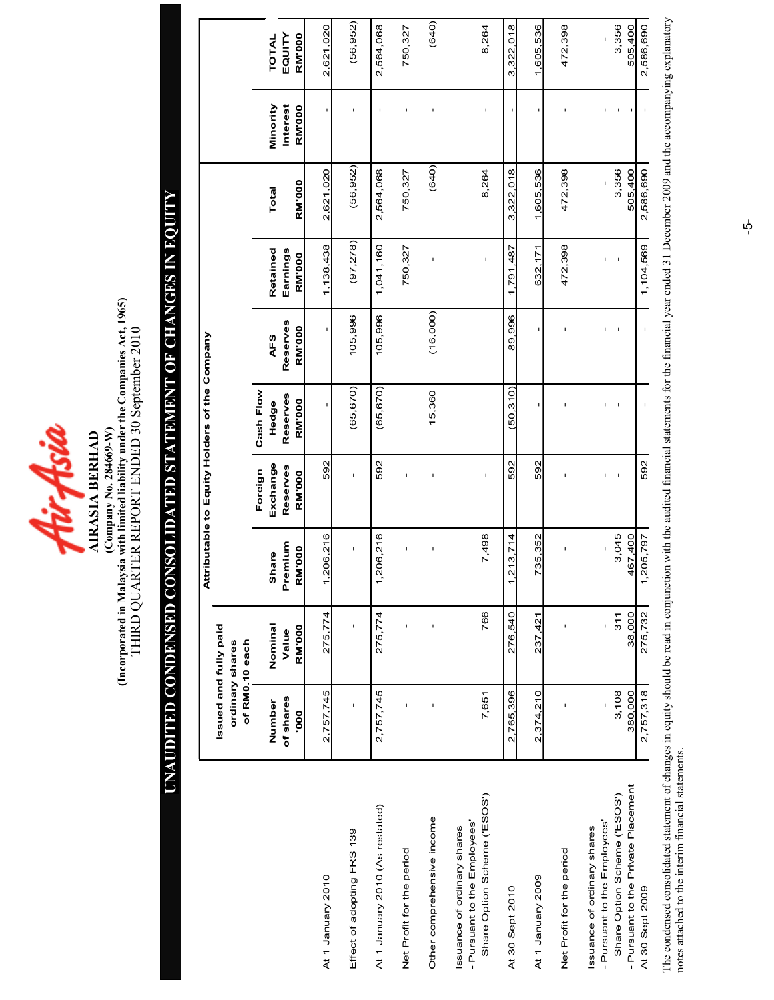

(Incorporated in Malaysia with limited liability under the Companies Act, 1965)<br>THIRD QUARTER REPORT ENDED 30 September 2010 (Incorporated in Malaysia with limited liability under the Companies Act, 1965) THIRD QUARTER REPORT ENDED 30 September 2010  $(Company No. 284669-W)$ (Company o. 284669-W) AIRASIA BERHAD

# UAUDITED CODESED COSOLIDATED STATEMET OF CHAGES I EQUITY UNAUDITED CONDENSED CONSOLIDATED STATEMENT OF CHANGES IN EQUITY

|                                                                                          |                                                            |                  |                                 |                      | Attributable to Equity Holders of the Company |                 |                      |                  |                      |                  |
|------------------------------------------------------------------------------------------|------------------------------------------------------------|------------------|---------------------------------|----------------------|-----------------------------------------------|-----------------|----------------------|------------------|----------------------|------------------|
|                                                                                          | Issued and fully paid<br>of RM0.10 each<br>ordinary shares |                  |                                 |                      |                                               |                 |                      |                  |                      |                  |
|                                                                                          |                                                            |                  |                                 | Foreign              | Cash Flow                                     |                 |                      |                  |                      |                  |
|                                                                                          | of shares<br>Number                                        | Nominal<br>Value | Premium<br>Share                | Exchange<br>Reserves | Reserves<br>Hedge                             | Reserves<br>AFS | Retained<br>Earnings | Total            | Interest<br>Minority | EQUITY<br>TOTAL  |
|                                                                                          | 000.                                                       | <b>RM'000</b>    | <b>RM'000</b>                   | <b>RM'000</b>        | <b>RM'000</b>                                 | <b>RM'000</b>   | <b>RM'000</b>        | <b>RM'000</b>    | RM'000               | <b>RM'000</b>    |
| At 1 January 2010                                                                        | 2.757.745                                                  | 275,774          | 206,216<br>$\blacktriangledown$ | 592                  | I.                                            |                 | 1,138,438            | 2,621,020        |                      | 2,621,020        |
| Effect of adopting FRS 139                                                               | t                                                          | ï                | ï                               | ï                    | (65, 670)                                     | 105,996         | (97, 278)            | (56, 952)        | ï                    | (56, 952)        |
| At 1 January 2010 (As restated)                                                          | 2,757,745                                                  | 275,774          | 206,216<br>$\overline{ }$       | 592                  | (65, 670)                                     | 105,996         | 1,041,160            | 2,564,068        | ï                    | 2,564,068        |
| Net Profit for the period                                                                |                                                            |                  | f,                              |                      |                                               |                 | 750,327              | 750,327          | f,                   | 750,327          |
| Other comprehensive income                                                               |                                                            |                  | ı                               |                      | 15,360                                        | (16,000)        | ï                    | (640)            |                      | (640)            |
| Share Option Scheme ('ESOS')<br>Pursuant to the Employees'<br>ssuance of ordinary shares | 7,651                                                      | 766              | 7,498                           | ı                    |                                               |                 | $\mathbf{I}$         | 8,264            | I                    | 8,264            |
| At 30 Sept 2010                                                                          | 2,765,396                                                  | 276,540          | 213,714<br>٣                    | 592                  | (50.310)                                      | 89,996          | 1,791,487            | 3,322,018        | I                    | 3,322,018        |
| At 1 January 2009                                                                        | 2,374,210                                                  | 237,421          | 735,352                         | 592                  | I.                                            |                 | 632,171              | 1,605,536        | I.                   | 1,605,536        |
| Net Profit for the period                                                                |                                                            |                  |                                 |                      |                                               |                 | 472,398              | 472,398          |                      | 472,398          |
| Pursuant to the Employees'<br>ssuance of ordinary shares                                 |                                                            | ı                |                                 |                      |                                               |                 | I,                   |                  |                      | ï                |
| Pursuant to the Private Placement<br>Share Option Scheme ('ESOS')                        | 3,108<br>380,000                                           | 38,000<br>311    | 3,045<br>467,400                |                      |                                               |                 |                      | 3,356<br>505,400 |                      | 3,356<br>505,400 |
| At 30 Sept 2009                                                                          | 2,757,318                                                  | 275,732          | <u>205,797</u>                  | 592                  |                                               |                 | 1,104,569            | 2,586,690        |                      | 2,586,690        |

The condensed consolidated statement of changes in equity should be read in conjunction with the audited financial statements for the financial year ended 31 December 2009 and the accompanying explanatory notes attached to The condensed consolidated statement of changes in equity should be read in conjunction with the audited financial statements for the financial year ended 31 December 2009 and the accompanying explanatory notes attached to the interim financial statements.

 $\vec{\mathsf{p}}$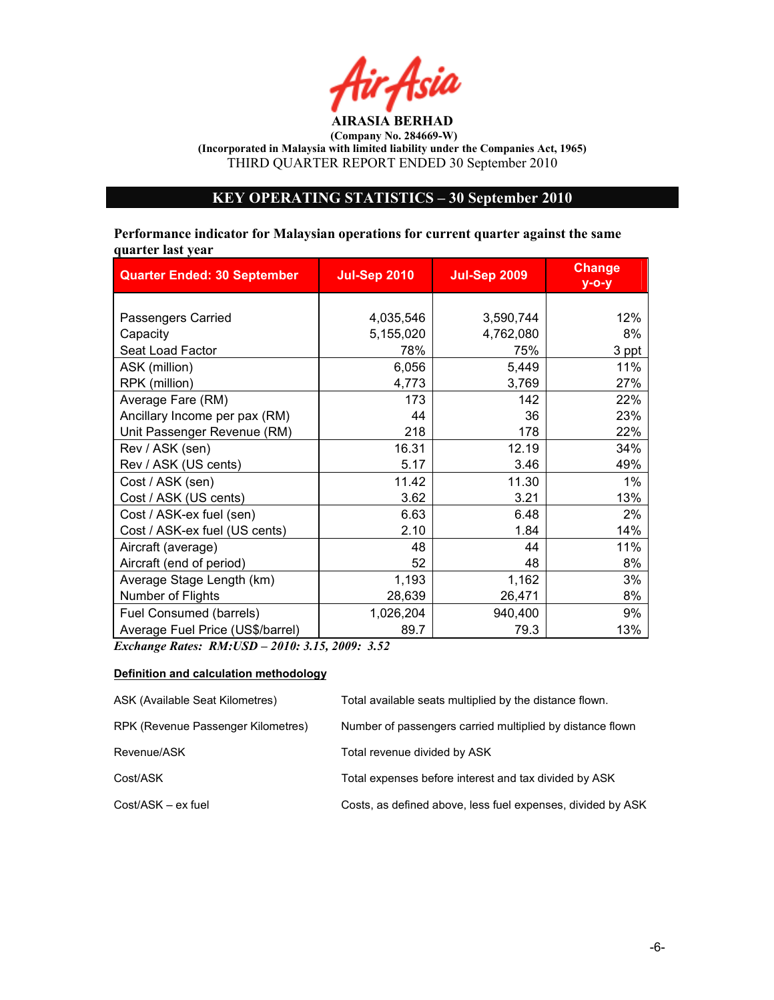

# KEY OPERATIG STATISTICS – 30 September 2010

Performance indicator for Malaysian operations for current quarter against the same quarter last year

| <b>Quarter Ended: 30 September</b> | <b>Jul-Sep 2010</b> | <b>Jul-Sep 2009</b> | <b>Change</b><br>$y$ -o-y |
|------------------------------------|---------------------|---------------------|---------------------------|
|                                    |                     |                     |                           |
| Passengers Carried                 | 4,035,546           | 3,590,744           | 12%                       |
| Capacity                           | 5,155,020           | 4,762,080           | 8%                        |
| Seat Load Factor                   | 78%                 | 75%                 | 3 ppt                     |
| ASK (million)                      | 6,056               | 5,449               | 11%                       |
| RPK (million)                      | 4,773               | 3,769               | 27%                       |
| Average Fare (RM)                  | 173                 | 142                 | 22%                       |
| Ancillary Income per pax (RM)      | 44                  | 36                  | 23%                       |
| Unit Passenger Revenue (RM)        | 218                 | 178                 | 22%                       |
| Rev / ASK (sen)                    | 16.31               | 12.19               | 34%                       |
| Rev / ASK (US cents)               | 5.17                | 3.46                | 49%                       |
| Cost / ASK (sen)                   | 11.42               | 11.30               | 1%                        |
| Cost / ASK (US cents)              | 3.62                | 3.21                | 13%                       |
| Cost / ASK-ex fuel (sen)           | 6.63                | 6.48                | 2%                        |
| Cost / ASK-ex fuel (US cents)      | 2.10                | 1.84                | 14%                       |
| Aircraft (average)                 | 48                  | 44                  | 11%                       |
| Aircraft (end of period)           | 52                  | 48                  | 8%                        |
| Average Stage Length (km)          | 1,193               | 1,162               | 3%                        |
| Number of Flights                  | 28,639              | 26,471              | 8%                        |
| Fuel Consumed (barrels)            | 1,026,204           | 940,400             | 9%                        |
| Average Fuel Price (US\$/barrel)   | 89.7                | 79.3                | 13%                       |

Exchange Rates: RM:USD – 2010: 3.15, 2009: 3.52

#### Definition and calculation methodology

| ASK (Available Seat Kilometres)    | Total available seats multiplied by the distance flown.     |
|------------------------------------|-------------------------------------------------------------|
| RPK (Revenue Passenger Kilometres) | Number of passengers carried multiplied by distance flown   |
| Revenue/ASK                        | Total revenue divided by ASK                                |
| Cost/ASK                           | Total expenses before interest and tax divided by ASK       |
| Cost/ASK – ex fuel                 | Costs, as defined above, less fuel expenses, divided by ASK |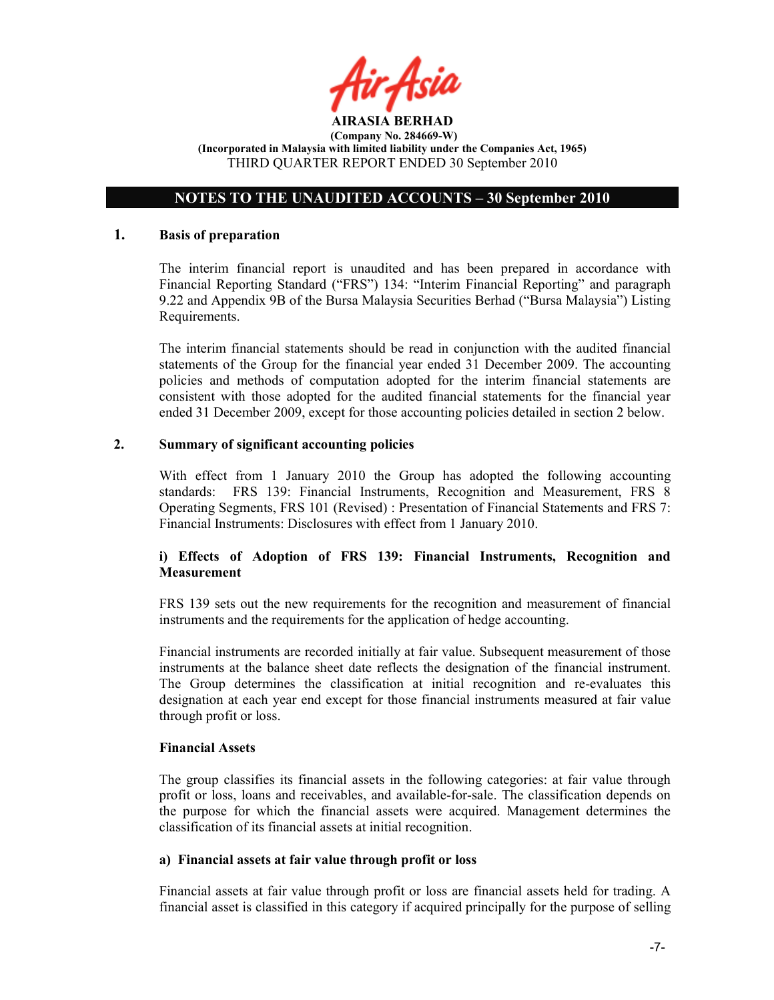

# OTES TO THE UAUDITED ACCOUTS – 30 September 2010

#### 1. Basis of preparation

The interim financial report is unaudited and has been prepared in accordance with Financial Reporting Standard ("FRS") 134: "Interim Financial Reporting" and paragraph 9.22 and Appendix 9B of the Bursa Malaysia Securities Berhad ("Bursa Malaysia") Listing Requirements.

The interim financial statements should be read in conjunction with the audited financial statements of the Group for the financial year ended 31 December 2009. The accounting policies and methods of computation adopted for the interim financial statements are consistent with those adopted for the audited financial statements for the financial year ended 31 December 2009, except for those accounting policies detailed in section 2 below.

# 2. Summary of significant accounting policies

With effect from 1 January 2010 the Group has adopted the following accounting standards: FRS 139: Financial Instruments, Recognition and Measurement, FRS 8 Operating Segments, FRS 101 (Revised) : Presentation of Financial Statements and FRS 7: Financial Instruments: Disclosures with effect from 1 January 2010.

# i) Effects of Adoption of FRS 139: Financial Instruments, Recognition and **Measurement**

FRS 139 sets out the new requirements for the recognition and measurement of financial instruments and the requirements for the application of hedge accounting.

Financial instruments are recorded initially at fair value. Subsequent measurement of those instruments at the balance sheet date reflects the designation of the financial instrument. The Group determines the classification at initial recognition and re-evaluates this designation at each year end except for those financial instruments measured at fair value through profit or loss.

#### Financial Assets

The group classifies its financial assets in the following categories: at fair value through profit or loss, loans and receivables, and available-for-sale. The classification depends on the purpose for which the financial assets were acquired. Management determines the classification of its financial assets at initial recognition.

#### a) Financial assets at fair value through profit or loss

Financial assets at fair value through profit or loss are financial assets held for trading. A financial asset is classified in this category if acquired principally for the purpose of selling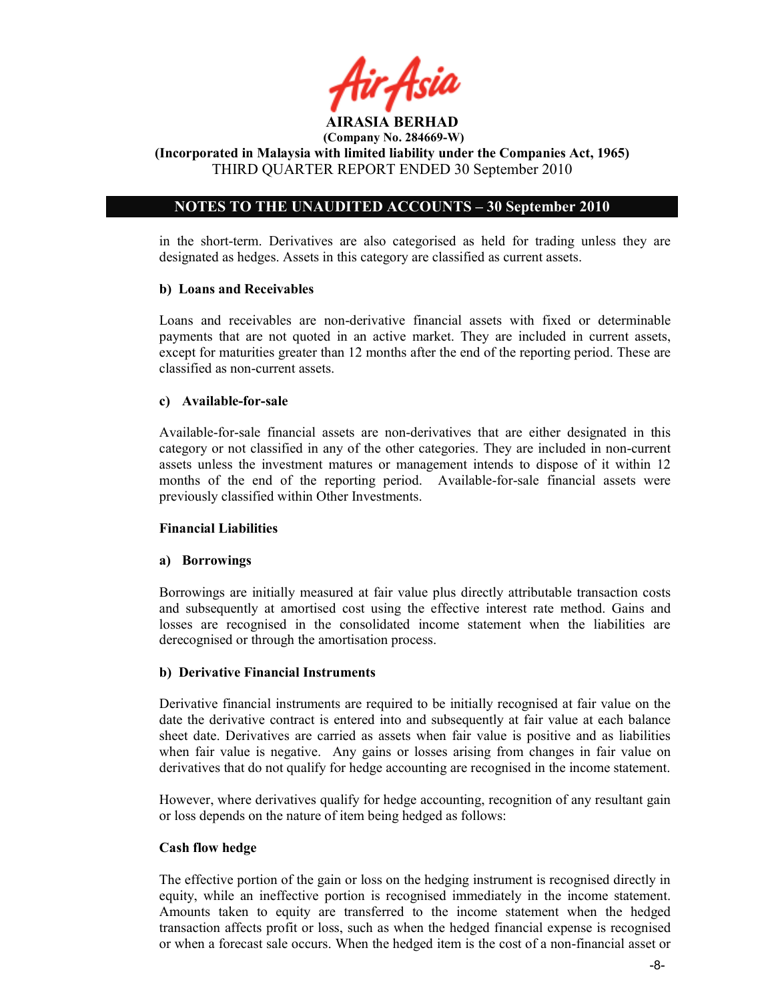

 $(Compariv No. 284669-W)$ 

(Incorporated in Malaysia with limited liability under the Companies Act, 1965) THIRD QUARTER REPORT ENDED 30 September 2010

# OTES TO THE UAUDITED ACCOUTS – 30 September 2010

in the short-term. Derivatives are also categorised as held for trading unless they are designated as hedges. Assets in this category are classified as current assets.

# b) Loans and Receivables

Loans and receivables are non-derivative financial assets with fixed or determinable payments that are not quoted in an active market. They are included in current assets, except for maturities greater than 12 months after the end of the reporting period. These are classified as non-current assets.

#### c) Available-for-sale

Available-for-sale financial assets are non-derivatives that are either designated in this category or not classified in any of the other categories. They are included in non-current assets unless the investment matures or management intends to dispose of it within 12 months of the end of the reporting period. Available-for-sale financial assets were previously classified within Other Investments.

# Financial Liabilities

# a) Borrowings

Borrowings are initially measured at fair value plus directly attributable transaction costs and subsequently at amortised cost using the effective interest rate method. Gains and losses are recognised in the consolidated income statement when the liabilities are derecognised or through the amortisation process.

#### b) Derivative Financial Instruments

Derivative financial instruments are required to be initially recognised at fair value on the date the derivative contract is entered into and subsequently at fair value at each balance sheet date. Derivatives are carried as assets when fair value is positive and as liabilities when fair value is negative. Any gains or losses arising from changes in fair value on derivatives that do not qualify for hedge accounting are recognised in the income statement.

However, where derivatives qualify for hedge accounting, recognition of any resultant gain or loss depends on the nature of item being hedged as follows:

#### Cash flow hedge

The effective portion of the gain or loss on the hedging instrument is recognised directly in equity, while an ineffective portion is recognised immediately in the income statement. Amounts taken to equity are transferred to the income statement when the hedged transaction affects profit or loss, such as when the hedged financial expense is recognised or when a forecast sale occurs. When the hedged item is the cost of a non-financial asset or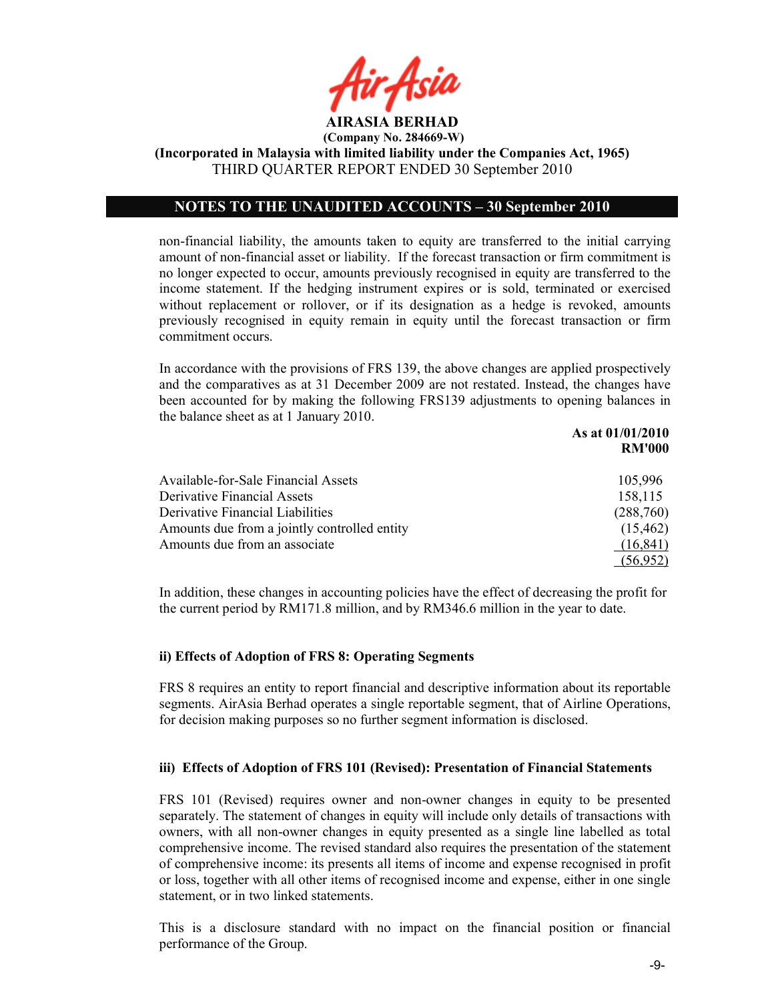

(Incorporated in Malaysia with limited liability under the Companies Act, 1965) THIRD QUARTER REPORT ENDED 30 September 2010

# OTES TO THE UAUDITED ACCOUTS – 30 September 2010

non-financial liability, the amounts taken to equity are transferred to the initial carrying amount of non-financial asset or liability. If the forecast transaction or firm commitment is no longer expected to occur, amounts previously recognised in equity are transferred to the income statement. If the hedging instrument expires or is sold, terminated or exercised without replacement or rollover, or if its designation as a hedge is revoked, amounts previously recognised in equity remain in equity until the forecast transaction or firm commitment occurs.

In accordance with the provisions of FRS 139, the above changes are applied prospectively and the comparatives as at 31 December 2009 are not restated. Instead, the changes have been accounted for by making the following FRS139 adjustments to opening balances in the balance sheet as at 1 January 2010.

|                                              | As at 01/01/2010 |
|----------------------------------------------|------------------|
|                                              | <b>RM'000</b>    |
| Available-for-Sale Financial Assets          | 105,996          |
| Derivative Financial Assets                  | 158,115          |
| Derivative Financial Liabilities             | (288,760)        |
| Amounts due from a jointly controlled entity | (15, 462)        |
| Amounts due from an associate                | (16, 841)        |
|                                              | (56,952)         |

In addition, these changes in accounting policies have the effect of decreasing the profit for the current period by RM171.8 million, and by RM346.6 million in the year to date.

# ii) Effects of Adoption of FRS 8: Operating Segments

FRS 8 requires an entity to report financial and descriptive information about its reportable segments. AirAsia Berhad operates a single reportable segment, that of Airline Operations, for decision making purposes so no further segment information is disclosed.

# iii) Effects of Adoption of FRS 101 (Revised): Presentation of Financial Statements

FRS 101 (Revised) requires owner and non-owner changes in equity to be presented separately. The statement of changes in equity will include only details of transactions with owners, with all non-owner changes in equity presented as a single line labelled as total comprehensive income. The revised standard also requires the presentation of the statement of comprehensive income: its presents all items of income and expense recognised in profit or loss, together with all other items of recognised income and expense, either in one single statement, or in two linked statements.

This is a disclosure standard with no impact on the financial position or financial performance of the Group.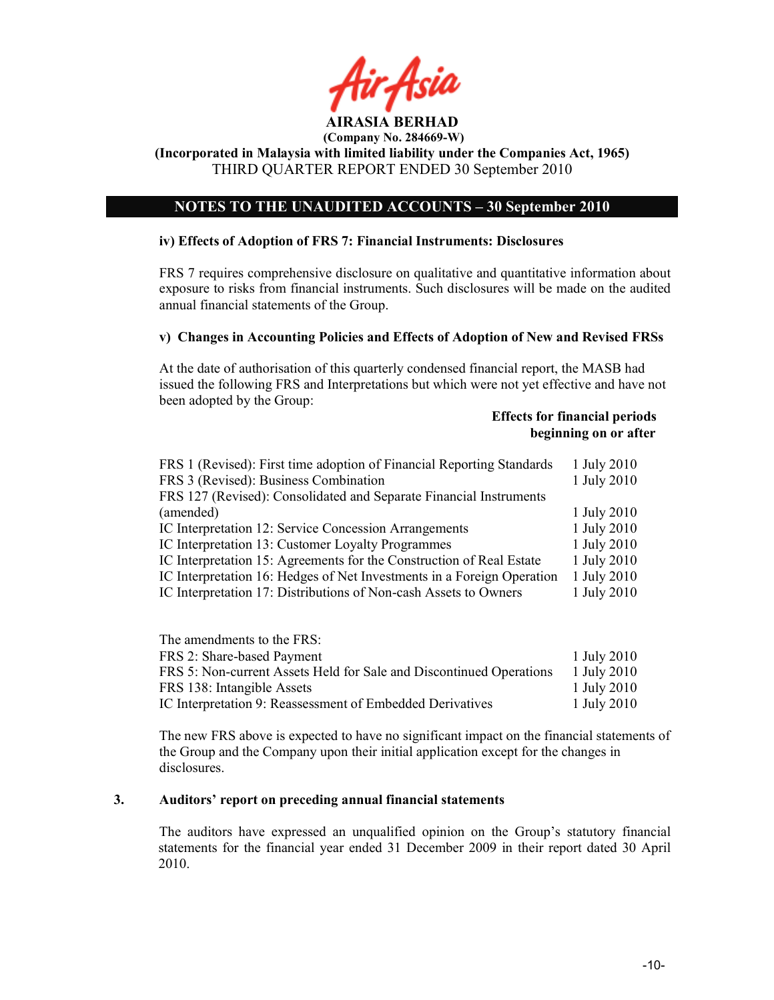

#### AIRASIA BERHAD (Company No. 284669-W)

(Incorporated in Malaysia with limited liability under the Companies Act, 1965) THIRD QUARTER REPORT ENDED 30 September 2010

# OTES TO THE UAUDITED ACCOUTS – 30 September 2010

#### iv) Effects of Adoption of FRS 7: Financial Instruments: Disclosures

FRS 7 requires comprehensive disclosure on qualitative and quantitative information about exposure to risks from financial instruments. Such disclosures will be made on the audited annual financial statements of the Group.

#### v) Changes in Accounting Policies and Effects of Adoption of New and Revised FRSs

At the date of authorisation of this quarterly condensed financial report, the MASB had issued the following FRS and Interpretations but which were not yet effective and have not been adopted by the Group:

# Effects for financial periods beginning on or after

| FRS 1 (Revised): First time adoption of Financial Reporting Standards<br>FRS 3 (Revised): Business Combination<br>FRS 127 (Revised): Consolidated and Separate Financial Instruments | 1 July 2010<br>1 July 2010 |
|--------------------------------------------------------------------------------------------------------------------------------------------------------------------------------------|----------------------------|
| (amended)                                                                                                                                                                            | 1 July 2010                |
| IC Interpretation 12: Service Concession Arrangements                                                                                                                                | 1 July 2010                |
| IC Interpretation 13: Customer Loyalty Programmes                                                                                                                                    | 1 July 2010                |
| IC Interpretation 15: Agreements for the Construction of Real Estate                                                                                                                 | 1 July 2010                |
| IC Interpretation 16: Hedges of Net Investments in a Foreign Operation                                                                                                               | 1 July 2010                |
| IC Interpretation 17: Distributions of Non-cash Assets to Owners                                                                                                                     | 1 July 2010                |

| The amendments to the FRS:                                          |             |
|---------------------------------------------------------------------|-------------|
| FRS 2: Share-based Payment                                          | 1 July 2010 |
| FRS 5: Non-current Assets Held for Sale and Discontinued Operations | 1 July 2010 |
| FRS 138: Intangible Assets                                          | 1 July 2010 |
| IC Interpretation 9: Reassessment of Embedded Derivatives           | 1 July 2010 |

The new FRS above is expected to have no significant impact on the financial statements of the Group and the Company upon their initial application except for the changes in disclosures.

## 3. Auditors' report on preceding annual financial statements

The auditors have expressed an unqualified opinion on the Group's statutory financial statements for the financial year ended 31 December 2009 in their report dated 30 April 2010.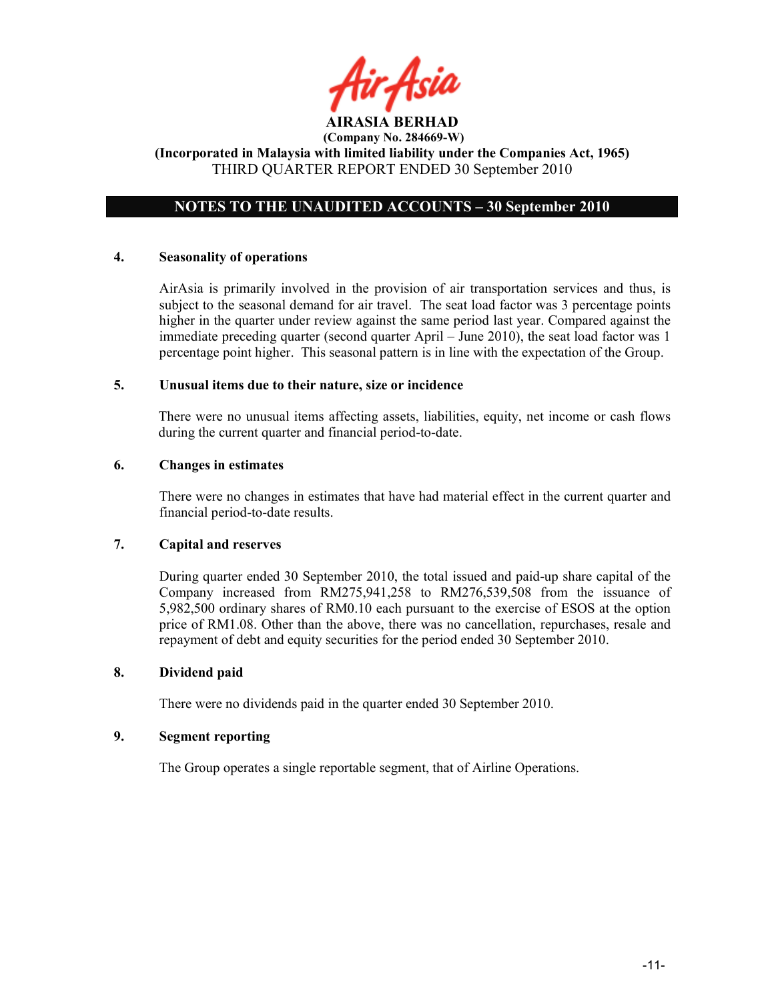

# OTES TO THE UAUDITED ACCOUTS – 30 September 2010

# 4. Seasonality of operations

AirAsia is primarily involved in the provision of air transportation services and thus, is subject to the seasonal demand for air travel. The seat load factor was 3 percentage points higher in the quarter under review against the same period last year. Compared against the immediate preceding quarter (second quarter April – June 2010), the seat load factor was 1 percentage point higher. This seasonal pattern is in line with the expectation of the Group.

# 5. Unusual items due to their nature, size or incidence

There were no unusual items affecting assets, liabilities, equity, net income or cash flows during the current quarter and financial period-to-date.

# 6. Changes in estimates

There were no changes in estimates that have had material effect in the current quarter and financial period-to-date results.

# 7. Capital and reserves

During quarter ended 30 September 2010, the total issued and paid-up share capital of the Company increased from RM275,941,258 to RM276,539,508 from the issuance of 5,982,500 ordinary shares of RM0.10 each pursuant to the exercise of ESOS at the option price of RM1.08. Other than the above, there was no cancellation, repurchases, resale and repayment of debt and equity securities for the period ended 30 September 2010.

# 8. Dividend paid

There were no dividends paid in the quarter ended 30 September 2010.

# 9. Segment reporting

The Group operates a single reportable segment, that of Airline Operations.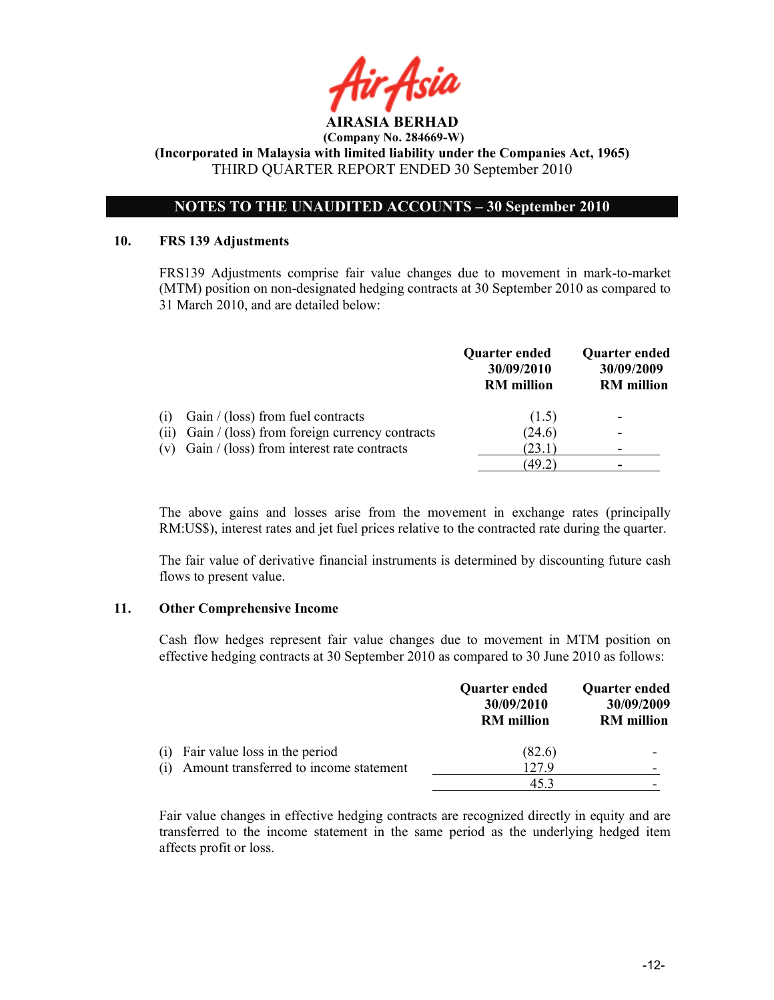

# OTES TO THE UAUDITED ACCOUTS – 30 September 2010

#### 10. FRS 139 Adjustments

 FRS139 Adjustments comprise fair value changes due to movement in mark-to-market (MTM) position on non-designated hedging contracts at 30 September 2010 as compared to 31 March 2010, and are detailed below:

|      |                                                  | Quarter ended<br>30/09/2010<br><b>RM</b> million | <b>Quarter ended</b><br>30/09/2009<br><b>RM</b> million |
|------|--------------------------------------------------|--------------------------------------------------|---------------------------------------------------------|
| (1)  | Gain $/$ (loss) from fuel contracts              | (1.5)                                            | $\overline{\phantom{0}}$                                |
| (11) | Gain / (loss) from foreign currency contracts    | (24.6)                                           | -                                                       |
|      | (v) Gain $/$ (loss) from interest rate contracts | (23.1)                                           |                                                         |
|      |                                                  | (49.2)                                           |                                                         |

The above gains and losses arise from the movement in exchange rates (principally RM:US\$), interest rates and jet fuel prices relative to the contracted rate during the quarter.

The fair value of derivative financial instruments is determined by discounting future cash flows to present value.

#### 11. Other Comprehensive Income

Cash flow hedges represent fair value changes due to movement in MTM position on effective hedging contracts at 30 September 2010 as compared to 30 June 2010 as follows:

|                                        | <b>Quarter ended</b><br>30/09/2010<br><b>RM</b> million | Quarter ended<br>30/09/2009<br><b>RM</b> million |
|----------------------------------------|---------------------------------------------------------|--------------------------------------------------|
| Fair value loss in the period<br>(1)   | (82.6)                                                  |                                                  |
| Amount transferred to income statement | 127.9                                                   | -                                                |
|                                        | 45.                                                     |                                                  |

Fair value changes in effective hedging contracts are recognized directly in equity and are transferred to the income statement in the same period as the underlying hedged item affects profit or loss.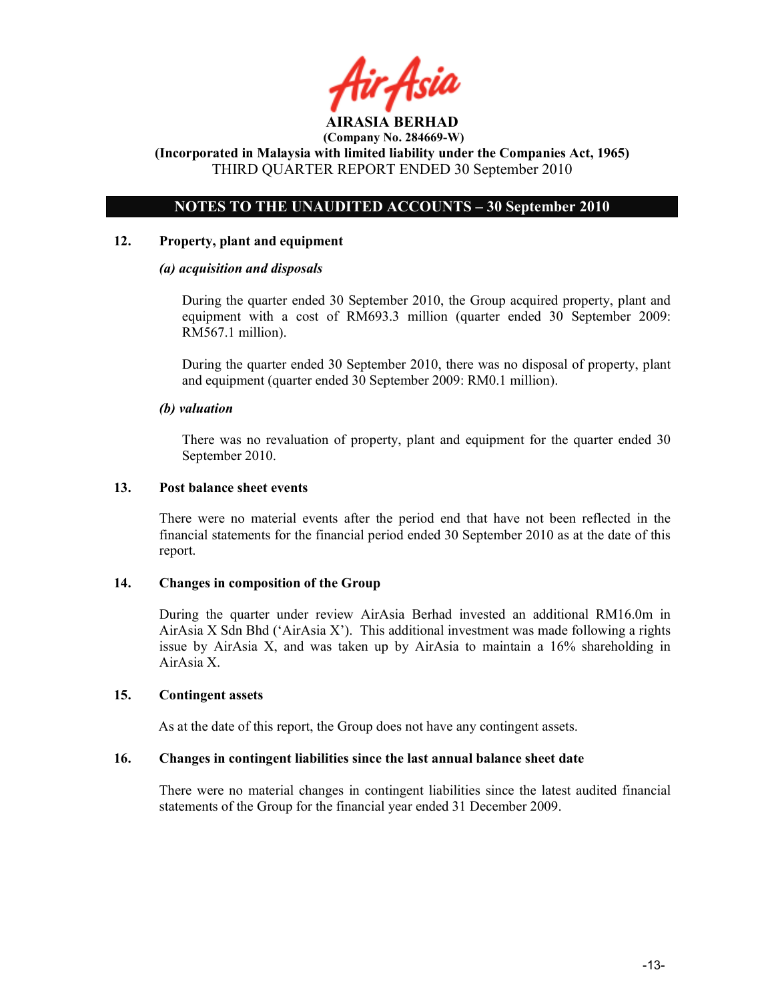

# OTES TO THE UAUDITED ACCOUTS – 30 September 2010

#### 12. Property, plant and equipment

#### (a) acquisition and disposals

During the quarter ended 30 September 2010, the Group acquired property, plant and equipment with a cost of RM693.3 million (quarter ended 30 September 2009: RM567.1 million).

During the quarter ended 30 September 2010, there was no disposal of property, plant and equipment (quarter ended 30 September 2009: RM0.1 million).

#### (b) valuation

 There was no revaluation of property, plant and equipment for the quarter ended 30 September 2010.

#### 13. Post balance sheet events

There were no material events after the period end that have not been reflected in the financial statements for the financial period ended 30 September 2010 as at the date of this report.

#### 14. Changes in composition of the Group

During the quarter under review AirAsia Berhad invested an additional RM16.0m in AirAsia X Sdn Bhd ('AirAsia X'). This additional investment was made following a rights issue by AirAsia X, and was taken up by AirAsia to maintain a 16% shareholding in AirAsia X.

# 15. Contingent assets

As at the date of this report, the Group does not have any contingent assets.

#### 16. Changes in contingent liabilities since the last annual balance sheet date

There were no material changes in contingent liabilities since the latest audited financial statements of the Group for the financial year ended 31 December 2009.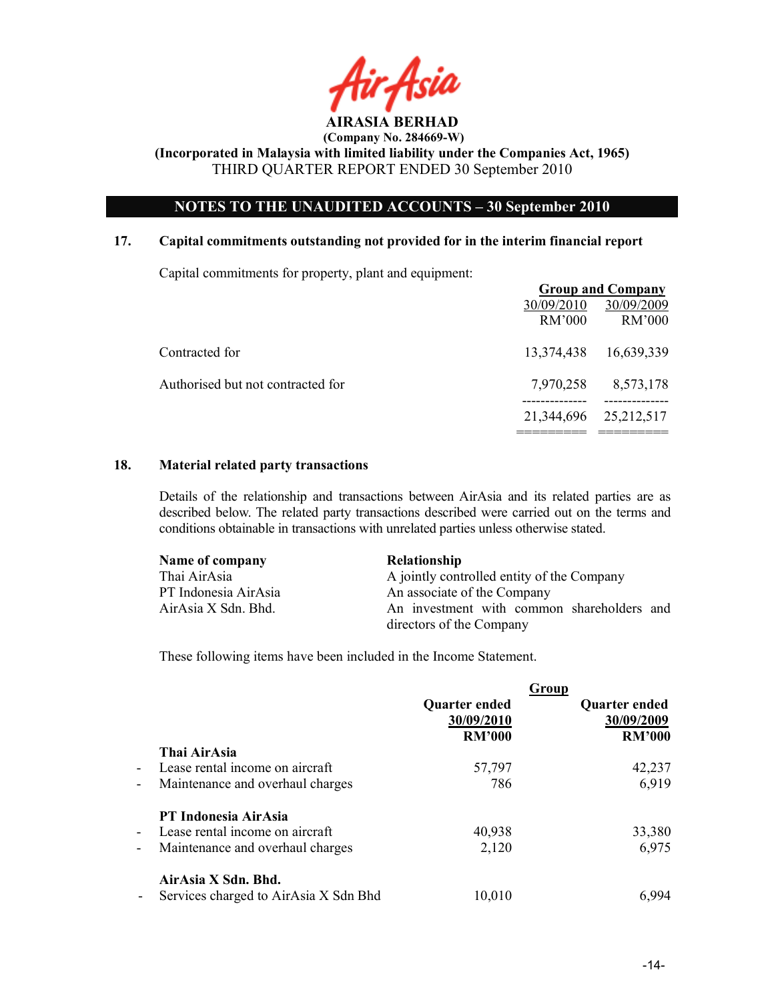

# NOTES TO THE UNAUDITED ACCOUNTS - 30 September 2010

#### 17. Capital commitments outstanding not provided for in the interim financial report

Capital commitments for property, plant and equipment:

|                                   | <b>Group and Company</b> |                      |
|-----------------------------------|--------------------------|----------------------|
|                                   | 30/09/2010<br>RM'000     | 30/09/2009<br>RM'000 |
| Contracted for                    |                          |                      |
|                                   | 13,374,438               | 16,639,339           |
| Authorised but not contracted for | 7,970,258                | 8,573,178            |
|                                   | 21,344,696               | 25,212,517           |
|                                   |                          |                      |

# 18. Material related party transactions

Details of the relationship and transactions between AirAsia and its related parties are as described below. The related party transactions described were carried out on the terms and conditions obtainable in transactions with unrelated parties unless otherwise stated.

| Name of company      | <b>Relationship</b>                        |  |  |
|----------------------|--------------------------------------------|--|--|
| Thai AirAsia         | A jointly controlled entity of the Company |  |  |
| PT Indonesia AirAsia | An associate of the Company                |  |  |
| AirAsia X Sdn. Bhd.  | An investment with common shareholders and |  |  |
|                      | directors of the Company                   |  |  |

These following items have been included in the Income Statement.

|                          |                                       |               | Group                |
|--------------------------|---------------------------------------|---------------|----------------------|
|                          |                                       | Quarter ended | <b>Quarter ended</b> |
|                          |                                       | 30/09/2010    | 30/09/2009           |
|                          |                                       | <b>RM'000</b> | <b>RM'000</b>        |
|                          | Thai AirAsia                          |               |                      |
| $\sim$                   | Lease rental income on aircraft       | 57,797        | 42,237               |
| $\overline{\phantom{a}}$ | Maintenance and overhaul charges      | 786           | 6,919                |
|                          | PT Indonesia AirAsia                  |               |                      |
| $\blacksquare$           | Lease rental income on aircraft       | 40,938        | 33,380               |
| $\overline{\phantom{a}}$ | Maintenance and overhaul charges      | 2,120         | 6,975                |
|                          | AirAsia X Sdn. Bhd.                   |               |                      |
|                          | Services charged to AirAsia X Sdn Bhd | 10,010        | 6.994                |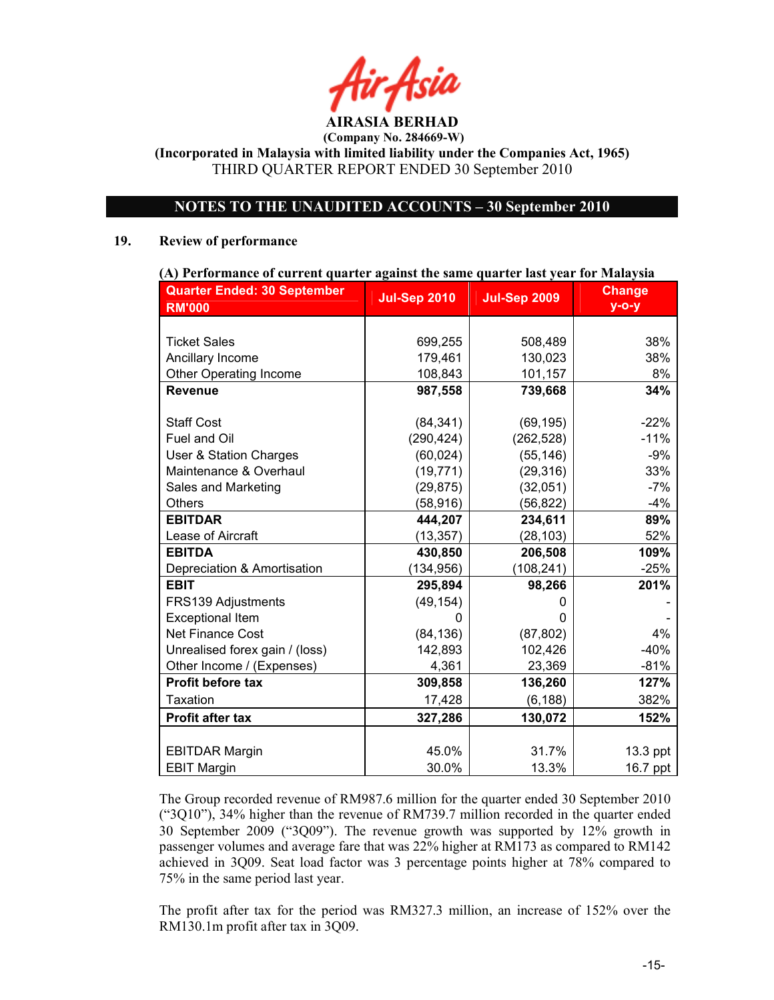# NOTES TO THE UNAUDITED ACCOUNTS - 30 September 2010

#### 19. Review of performance

| (A) Performance of current quarter against the same quarter last year for Malaysia |                     |                     |               |  |
|------------------------------------------------------------------------------------|---------------------|---------------------|---------------|--|
| <b>Quarter Ended: 30 September</b>                                                 | <b>Jul-Sep 2010</b> | <b>Jul-Sep 2009</b> | <b>Change</b> |  |
| <b>RM'000</b>                                                                      |                     |                     | $y - o - y$   |  |
|                                                                                    |                     |                     |               |  |
| <b>Ticket Sales</b>                                                                | 699,255             | 508,489             | 38%           |  |
| Ancillary Income                                                                   | 179,461             | 130,023             | 38%           |  |
| <b>Other Operating Income</b>                                                      | 108,843             | 101,157             | 8%            |  |
| <b>Revenue</b>                                                                     | 987,558             | 739,668             | 34%           |  |
|                                                                                    |                     |                     |               |  |
| <b>Staff Cost</b>                                                                  | (84, 341)           | (69, 195)           | $-22%$        |  |
| Fuel and Oil                                                                       | (290, 424)          | (262, 528)          | $-11%$        |  |
| <b>User &amp; Station Charges</b>                                                  | (60, 024)           | (55, 146)           | $-9%$         |  |
| Maintenance & Overhaul                                                             | (19, 771)           | (29, 316)           | 33%           |  |
| Sales and Marketing                                                                | (29, 875)           | (32,051)            | $-7%$         |  |
| <b>Others</b>                                                                      | (58, 916)           | (56, 822)           | $-4%$         |  |
| <b>EBITDAR</b>                                                                     | 444,207             | 234,611             | 89%           |  |
| Lease of Aircraft                                                                  | (13, 357)           | (28, 103)           | 52%           |  |
| <b>EBITDA</b>                                                                      | 430,850             | 206,508             | 109%          |  |
| Depreciation & Amortisation                                                        | (134, 956)          | (108, 241)          | $-25%$        |  |
| <b>EBIT</b>                                                                        | 295,894             | 98,266              | 201%          |  |
| FRS139 Adjustments                                                                 | (49, 154)           |                     |               |  |
| <b>Exceptional Item</b>                                                            | 0                   | 0                   |               |  |
| <b>Net Finance Cost</b>                                                            | (84, 136)           | (87, 802)           | 4%            |  |
| Unrealised forex gain / (loss)                                                     | 142,893             | 102,426             | $-40%$        |  |
| Other Income / (Expenses)                                                          | 4,361               | 23,369              | $-81%$        |  |
| <b>Profit before tax</b>                                                           | 309,858             | 136,260             | 127%          |  |
| <b>Taxation</b>                                                                    | 17,428              | (6, 188)            | 382%          |  |
| <b>Profit after tax</b>                                                            | 327,286             | 130,072             | 152%          |  |
|                                                                                    |                     |                     |               |  |
| <b>EBITDAR Margin</b>                                                              | 45.0%               | 31.7%               | $13.3$ ppt    |  |
| <b>EBIT Margin</b>                                                                 | 30.0%               | 13.3%               | 16.7 ppt      |  |

The Group recorded revenue of RM987.6 million for the quarter ended 30 September 2010 ("3Q10"), 34% higher than the revenue of RM739.7 million recorded in the quarter ended 30 September 2009 ("3Q09"). The revenue growth was supported by 12% growth in passenger volumes and average fare that was 22% higher at RM173 as compared to RM142 achieved in 3Q09. Seat load factor was 3 percentage points higher at 78% compared to 75% in the same period last year.

The profit after tax for the period was RM327.3 million, an increase of 152% over the RM130.1m profit after tax in 3Q09.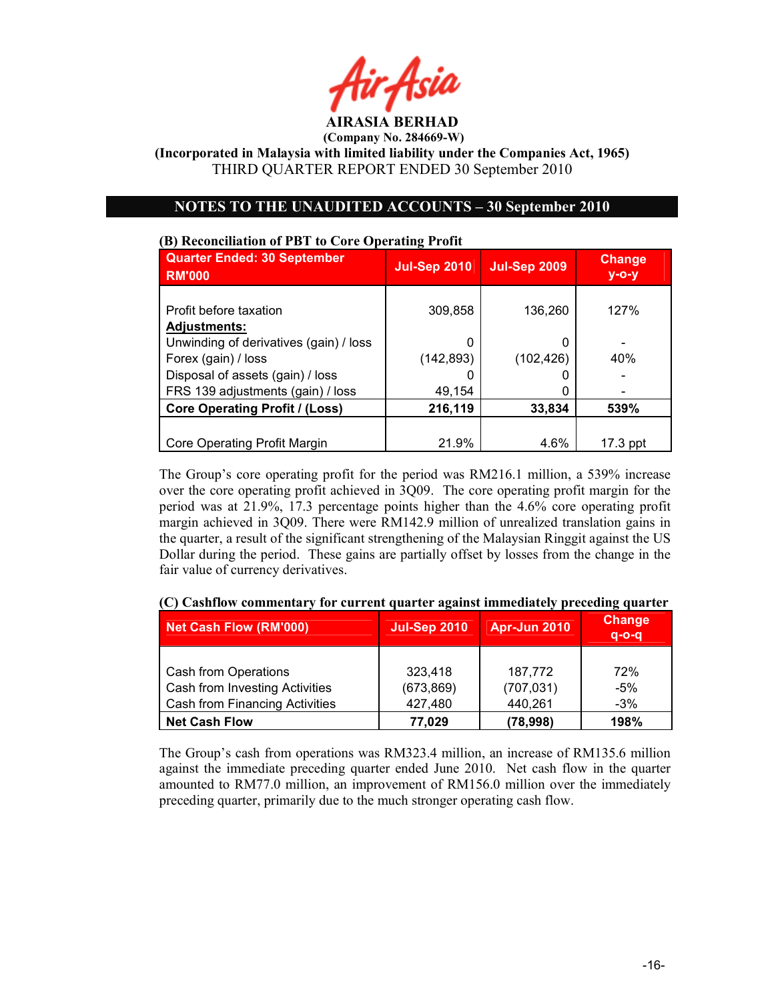

(Incorporated in Malaysia with limited liability under the Companies Act, 1965) THIRD QUARTER REPORT ENDED 30 September 2010

# OTES TO THE UAUDITED ACCOUTS – 30 September 2010

# (B) Reconciliation of PBT to Core Operating Profit Quarter Ended: 30 September RM'000 Jul-Sep 2010 Jul-Sep 2009 Change y-o-y Profit before taxation  $\vert$  309,858 | 136,260 | 127% Adjustments: Unwinding of derivatives (gain) / loss 0 0 - Forex (gain) / loss  $(142,893)$   $(102,426)$   $40\%$ Disposal of assets (gain) / loss 0 0 - FRS 139 adjustments (gain) / loss 49,154 0 - Core Operating Profit / (Loss)  $\vert$  216,119 33,834 539% Core Operating Profit Margin 17.3 ppt

The Group's core operating profit for the period was RM216.1 million, a 539% increase over the core operating profit achieved in 3Q09. The core operating profit margin for the period was at 21.9%, 17.3 percentage points higher than the 4.6% core operating profit margin achieved in 3Q09. There were RM142.9 million of unrealized translation gains in the quarter, a result of the significant strengthening of the Malaysian Ringgit against the US Dollar during the period. These gains are partially offset by losses from the change in the fair value of currency derivatives.

| <b>Net Cash Flow (RM'000)</b>                          | <b>Jul-Sep 2010</b>   | <b>Apr-Jun 2010</b>   | <b>Change</b><br>$a-o-a$ |
|--------------------------------------------------------|-----------------------|-----------------------|--------------------------|
| Cash from Operations<br>Cash from Investing Activities | 323,418<br>(673, 869) | 187,772<br>(707, 031) | 72%<br>-5%               |
| <b>Cash from Financing Activities</b>                  | 427,480               | 440,261               | $-3\%$                   |
| <b>Net Cash Flow</b>                                   | 77,029                | (78, 998)             | 198%                     |

(C) Cashflow commentary for current quarter against immediately preceding quarter

The Group's cash from operations was RM323.4 million, an increase of RM135.6 million against the immediate preceding quarter ended June 2010. Net cash flow in the quarter amounted to RM77.0 million, an improvement of RM156.0 million over the immediately preceding quarter, primarily due to the much stronger operating cash flow.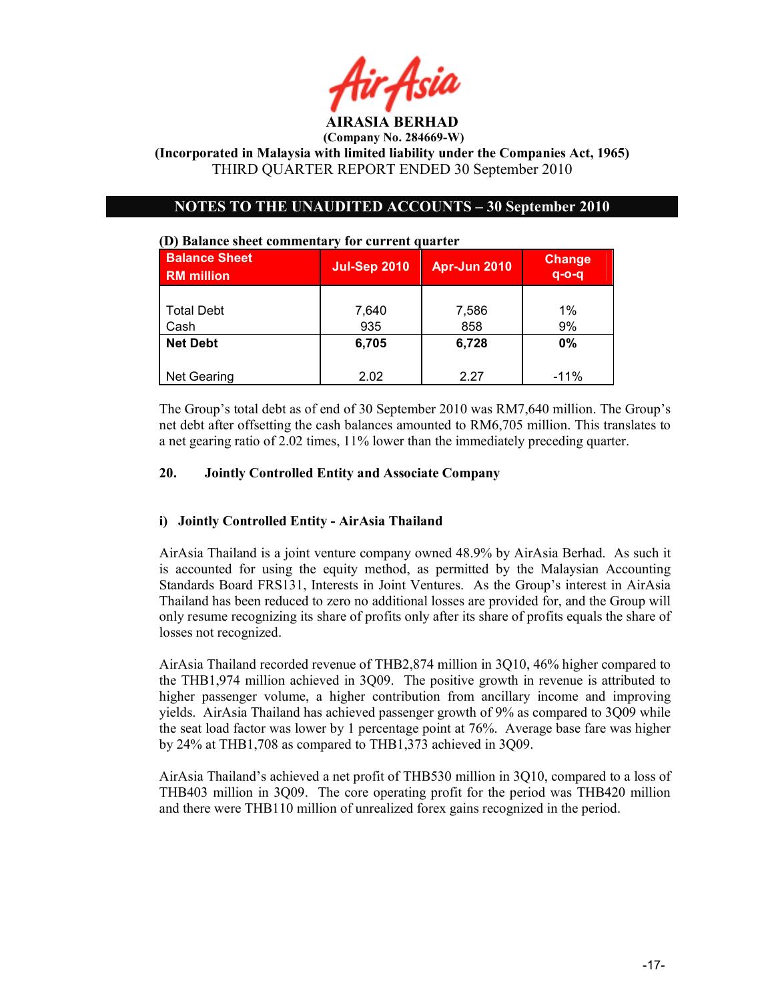

(Incorporated in Malaysia with limited liability under the Companies Act, 1965) THIRD QUARTER REPORT ENDED 30 September 2010

# OTES TO THE UAUDITED ACCOUTS – 30 September 2010

| <b>Balance Sheet</b><br><b>RM</b> million | <b>Jul-Sep 2010</b> | Apr-Jun 2010 | <b>Change</b><br>$q$ -o-q |
|-------------------------------------------|---------------------|--------------|---------------------------|
| <b>Total Debt</b><br>Cash                 | 7,640<br>935        | 7,586<br>858 | $1\%$<br>9%               |
| <b>Net Debt</b>                           | 6,705               | 6,728        | $0\%$                     |
| <b>Net Gearing</b>                        | 2.02                | 2.27         | $-11\%$                   |

#### (D) Balance sheet commentary for current quarter

The Group's total debt as of end of 30 September 2010 was RM7,640 million. The Group's net debt after offsetting the cash balances amounted to RM6,705 million. This translates to a net gearing ratio of 2.02 times, 11% lower than the immediately preceding quarter.

#### 20. Jointly Controlled Entity and Associate Company

# i) Jointly Controlled Entity - AirAsia Thailand

AirAsia Thailand is a joint venture company owned 48.9% by AirAsia Berhad. As such it is accounted for using the equity method, as permitted by the Malaysian Accounting Standards Board FRS131, Interests in Joint Ventures. As the Group's interest in AirAsia Thailand has been reduced to zero no additional losses are provided for, and the Group will only resume recognizing its share of profits only after its share of profits equals the share of losses not recognized.

AirAsia Thailand recorded revenue of THB2,874 million in 3Q10, 46% higher compared to the THB1,974 million achieved in 3Q09. The positive growth in revenue is attributed to higher passenger volume, a higher contribution from ancillary income and improving yields. AirAsia Thailand has achieved passenger growth of 9% as compared to 3Q09 while the seat load factor was lower by 1 percentage point at 76%. Average base fare was higher by 24% at THB1,708 as compared to THB1,373 achieved in 3Q09.

AirAsia Thailand's achieved a net profit of THB530 million in 3Q10, compared to a loss of THB403 million in 3Q09. The core operating profit for the period was THB420 million and there were THB110 million of unrealized forex gains recognized in the period.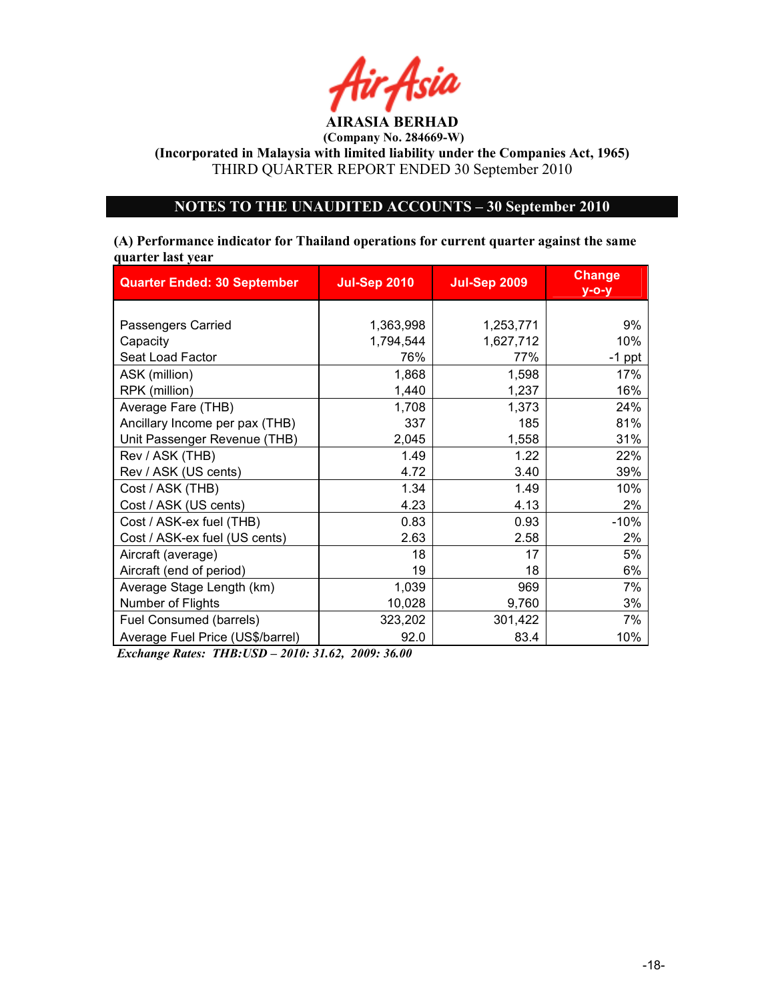

(Incorporated in Malaysia with limited liability under the Companies Act, 1965) THIRD QUARTER REPORT ENDED 30 September 2010

# OTES TO THE UAUDITED ACCOUTS – 30 September 2010

## (A) Performance indicator for Thailand operations for current quarter against the same quarter last year

| <b>Quarter Ended: 30 September</b> | <b>Jul-Sep 2010</b> | <b>Jul-Sep 2009</b> | <b>Change</b><br>$y$ -o-y |
|------------------------------------|---------------------|---------------------|---------------------------|
|                                    |                     |                     |                           |
| Passengers Carried                 | 1,363,998           | 1,253,771           | 9%                        |
| Capacity                           | 1,794,544           | 1,627,712           | 10%                       |
| Seat Load Factor                   | 76%                 | 77%                 | $-1$ ppt                  |
| ASK (million)                      | 1,868               | 1,598               | 17%                       |
| RPK (million)                      | 1,440               | 1,237               | 16%                       |
| Average Fare (THB)                 | 1,708               | 1,373               | 24%                       |
| Ancillary Income per pax (THB)     | 337                 | 185                 | 81%                       |
| Unit Passenger Revenue (THB)       | 2,045               | 1,558               | 31%                       |
| Rev / ASK (THB)                    | 1.49                | 1.22                | 22%                       |
| Rev / ASK (US cents)               | 4.72                | 3.40                | 39%                       |
| Cost / ASK (THB)                   | 1.34                | 1.49                | 10%                       |
| Cost / ASK (US cents)              | 4.23                | 4.13                | 2%                        |
| Cost / ASK-ex fuel (THB)           | 0.83                | 0.93                | $-10%$                    |
| Cost / ASK-ex fuel (US cents)      | 2.63                | 2.58                | 2%                        |
| Aircraft (average)                 | 18                  | 17                  | 5%                        |
| Aircraft (end of period)           | 19                  | 18                  | 6%                        |
| Average Stage Length (km)          | 1,039               | 969                 | 7%                        |
| Number of Flights                  | 10,028              | 9,760               | 3%                        |
| Fuel Consumed (barrels)            | 323,202             | 301,422             | 7%                        |
| Average Fuel Price (US\$/barrel)   | 92.0                | 83.4                | 10%                       |

Exchange Rates: THB:USD – 2010: 31.62, 2009: 36.00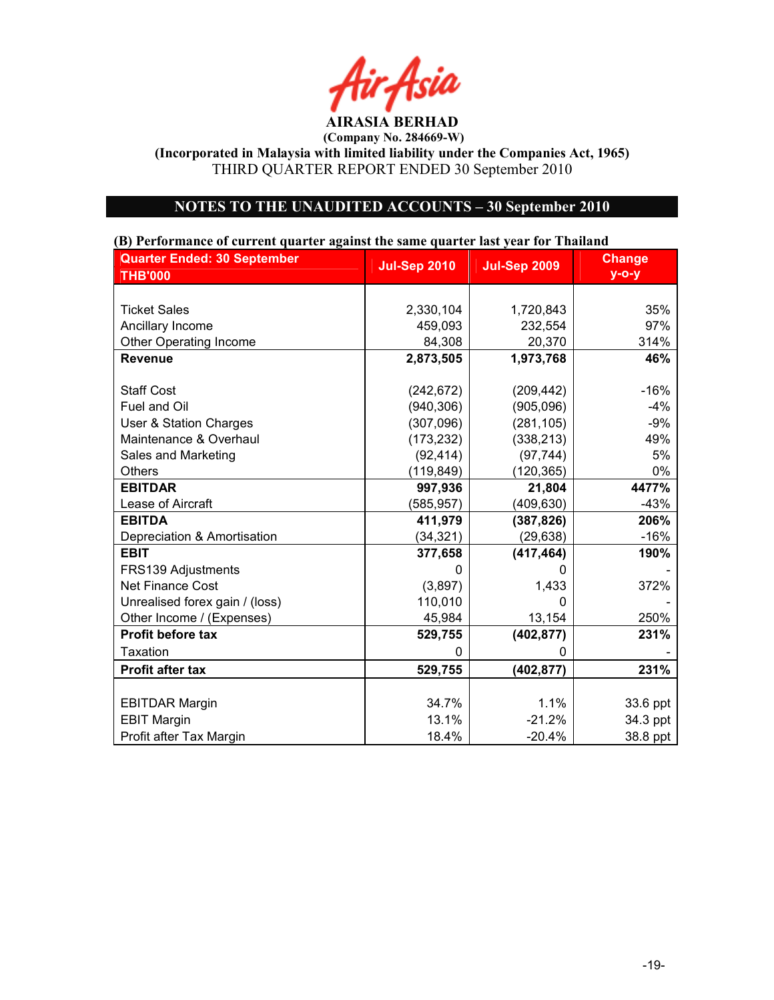Air Asia AIRASIA BERHAD

(Incorporated in Malaysia with limited liability under the Companies Act, 1965) THIRD QUARTER REPORT ENDED 30 September 2010

# NOTES TO THE UNAUDITED ACCOUNTS - 30 September 2010

# Quarter Ended: 30 September THB'000 Jul-Sep 2010 Jul-Sep 2009 Change y-o-y Ticket Sales 2,330,104 1,720,843 Ancillary Income 459,093 232,554 97% Other Operating Income 84,308 20,370 314% Revenue 2,873,505 | 1,973,768 | 46% Staff Cost (242,672) (209,442) -16% Fuel and Oil | (940,306) | (905,096) | -4% User & Station Charges (307,096) (281,105) -9% Maintenance & Overhaul (173,232) (338,213) 49% Sales and Marketing  $(92,414)$   $(97,744)$   $(97,744)$  5% Others (119,849) (120,365) 0% EBITDAR 997,936 21,804 4477% Lease of Aircraft 1992 1994 (585,957) (409,630) EBITDA (387,826) 411,979 (387,826) Depreciation & Amortisation  $(34,321)$   $(29,638)$  -16% EBIT 377,658 (417,464) 190% FRS139 Adjustments and the contract of the contract of the contract of the contract of the contract of the contract of the contract of the contract of the contract of the contract of the contract of the contract of the con Net Finance Cost  $(3.897)$   $(1.433)$  372% Unrealised forex gain / (loss) <br>
Other Income / (Expenses) 110,010 - 13,154 Other Income / (Expenses) 13,154 250% Profit before tax  $\vert$  529,755 (402,877) 231% Taxation 0 0 - Profit after tax 529,755 (402,877) 231% EBITDAR Margin 23.6 ppt 234.7% 23.6 ppt 34.7% 23.6 ppt EBIT Margin 21.1% -21.2% 34.3 ppt Profit after Tax Margin 18.4% | 18.4% | 20.4% | 38.8 ppt

#### (B) Performance of current quarter against the same quarter last year for Thailand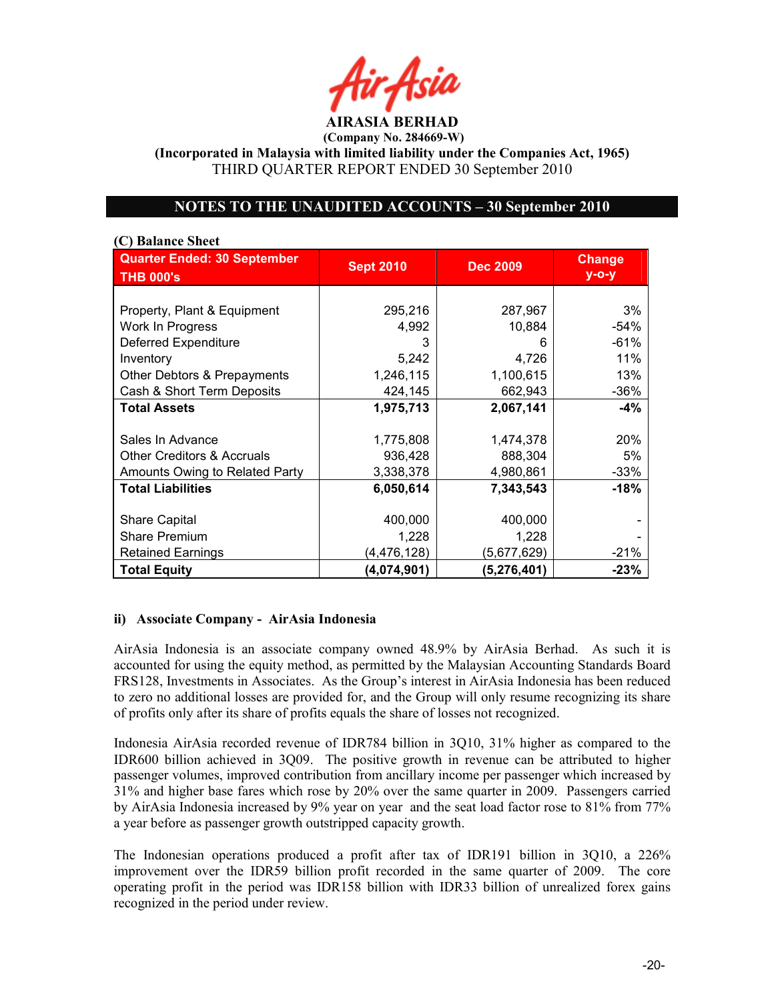<sup>l</sup>ir Asid AIRASIA BERHAD

(Incorporated in Malaysia with limited liability under the Companies Act, 1965) THIRD QUARTER REPORT ENDED 30 September 2010

# OTES TO THE UAUDITED ACCOUTS – 30 September 2010

# (C) Balance Sheet Quarter Ended: 30 September THB 000's **Sept 2010** Dec 2009 | Change y-o-y Property, Plant & Equipment | 295,216 | 287,967 | 3% Work In Progress  $\begin{array}{ccc} 1 & 4,992 & 10,884 \end{array}$  -54% Deferred Expenditure  $\begin{array}{ccc} | & 3 & | & 6 & | \end{array}$  -61% Inventory 5,242 4,726 11% Other Debtors & Prepayments | 1,246,115 | 1,100,615 | 13% Cash & Short Term Deposits  $\begin{array}{c|c} 424,145 & 662,943 \end{array}$  -36% Total Assets 1,975,713 2,067,141 -4% Sales In Advance 1, 1,775,808 1,474,378 20% Other Creditors & Accruals  $936,428$  888,304 Amounts Owing to Related Party | 3,338,378 | 4,980,861 | 33% Total Liabilities 6,050,614 7,343,543 -18% Share Capital 1 1 400,000 400,000 Share Premium 1,228 1,228 1,228 Retained Earnings (4,476,128) (5,677,629) -21% Total Equity (4,074,901) (5,276,401) -23%

# ii) Associate Company - AirAsia Indonesia

AirAsia Indonesia is an associate company owned 48.9% by AirAsia Berhad. As such it is accounted for using the equity method, as permitted by the Malaysian Accounting Standards Board FRS128, Investments in Associates. As the Group's interest in AirAsia Indonesia has been reduced to zero no additional losses are provided for, and the Group will only resume recognizing its share of profits only after its share of profits equals the share of losses not recognized.

Indonesia AirAsia recorded revenue of IDR784 billion in 3Q10, 31% higher as compared to the IDR600 billion achieved in 3Q09. The positive growth in revenue can be attributed to higher passenger volumes, improved contribution from ancillary income per passenger which increased by 31% and higher base fares which rose by 20% over the same quarter in 2009. Passengers carried by AirAsia Indonesia increased by 9% year on year and the seat load factor rose to 81% from 77% a year before as passenger growth outstripped capacity growth.

The Indonesian operations produced a profit after tax of IDR191 billion in 3Q10, a 226% improvement over the IDR59 billion profit recorded in the same quarter of 2009. The core operating profit in the period was IDR158 billion with IDR33 billion of unrealized forex gains recognized in the period under review.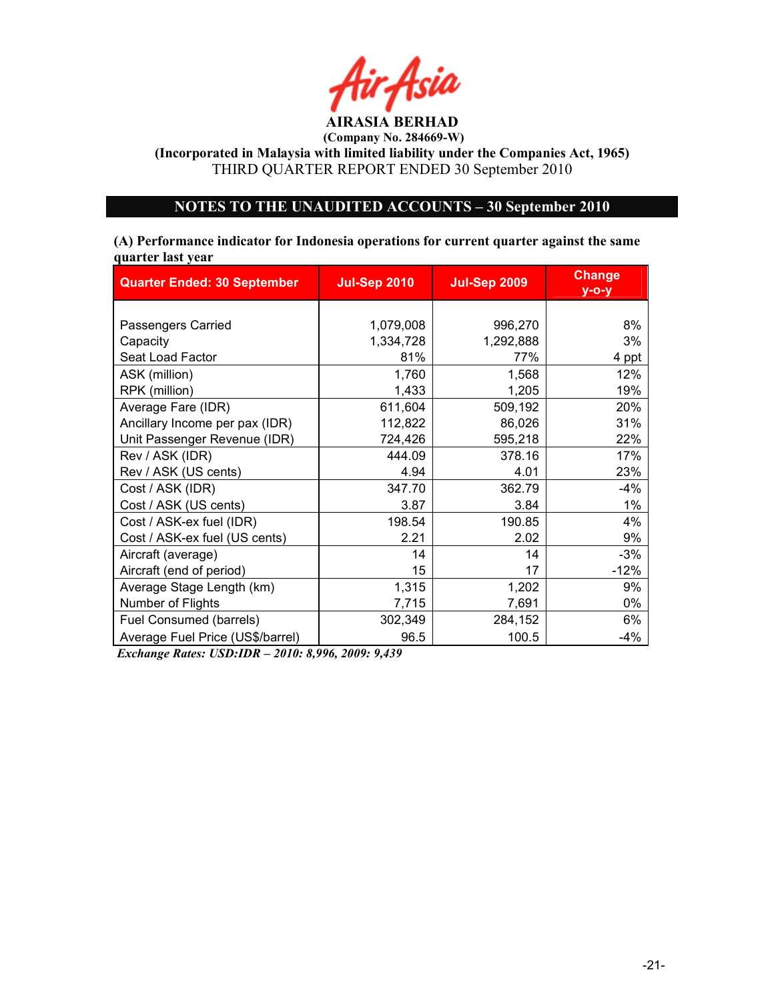

(Incorporated in Malaysia with limited liability under the Companies Act, 1965) THIRD QUARTER REPORT ENDED 30 September 2010

# OTES TO THE UAUDITED ACCOUTS – 30 September 2010

## (A) Performance indicator for Indonesia operations for current quarter against the same quarter last year

| <b>Quarter Ended: 30 September</b> | <b>Jul-Sep 2010</b> | <b>Jul-Sep 2009</b> | <b>Change</b><br>$y$ -o-y |  |
|------------------------------------|---------------------|---------------------|---------------------------|--|
|                                    |                     |                     |                           |  |
| Passengers Carried                 | 1,079,008           | 996,270             | 8%                        |  |
| Capacity                           | 1,334,728           | 1,292,888           | 3%                        |  |
| Seat Load Factor                   | 81%                 | 77%                 | 4 ppt                     |  |
| ASK (million)                      | 1,760               | 1,568               | 12%                       |  |
| RPK (million)                      | 1,433               | 1,205               | 19%                       |  |
| Average Fare (IDR)                 | 611,604             | 509,192             | 20%                       |  |
| Ancillary Income per pax (IDR)     | 112,822             | 86,026              | 31%                       |  |
| Unit Passenger Revenue (IDR)       | 724,426             | 595,218             | 22%                       |  |
| Rev / ASK (IDR)                    | 444.09              | 378.16              | 17%                       |  |
| Rev / ASK (US cents)               | 4.94                | 4.01                | 23%                       |  |
| Cost / ASK (IDR)                   | 347.70              | 362.79              | $-4%$                     |  |
| Cost / ASK (US cents)              | 3.87                | 3.84                | $1\%$                     |  |
| Cost / ASK-ex fuel (IDR)           | 198.54              | 190.85              | 4%                        |  |
| Cost / ASK-ex fuel (US cents)      | 2.21                | 2.02                | 9%                        |  |
| Aircraft (average)                 | 14                  | 14                  | $-3%$                     |  |
| Aircraft (end of period)           | 15                  | 17                  | $-12%$                    |  |
| Average Stage Length (km)          | 1,315               | 1,202               | 9%                        |  |
| Number of Flights                  | 7,715               | 7,691               | $0\%$                     |  |
| Fuel Consumed (barrels)            | 302,349             | 284,152             | 6%                        |  |
| Average Fuel Price (US\$/barrel)   | 96.5                | 100.5               | $-4%$                     |  |

Exchange Rates: USD:IDR – 2010: 8,996, 2009: 9,439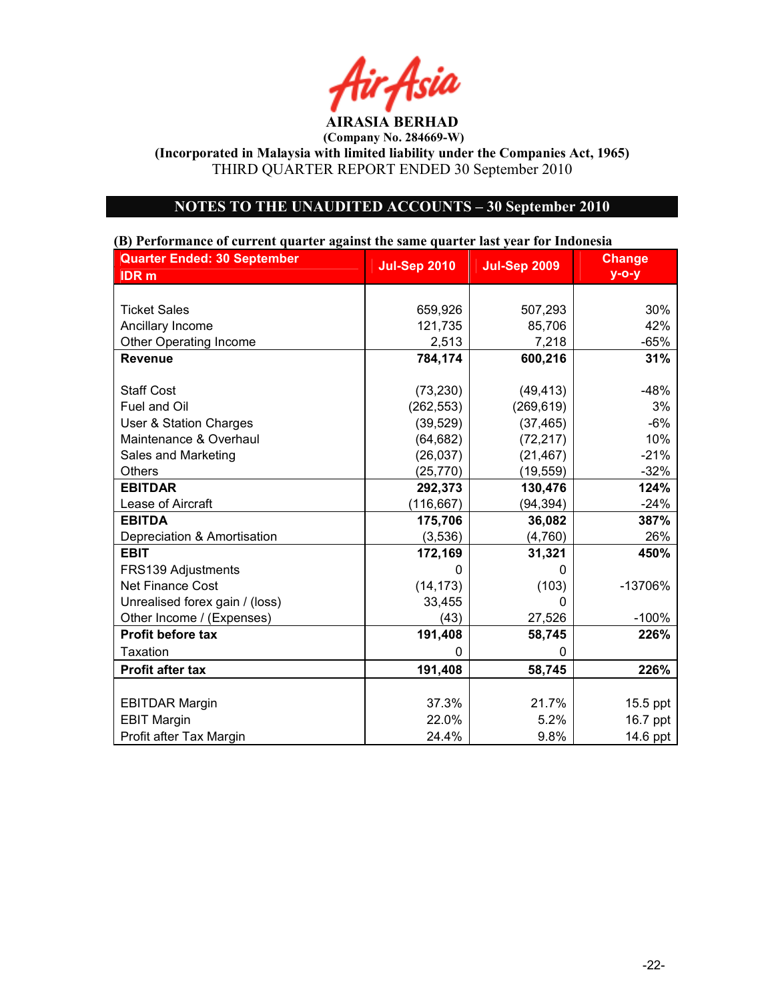Air Asia AIRASIA BERHAD

(Incorporated in Malaysia with limited liability under the Companies Act, 1965) THIRD QUARTER REPORT ENDED 30 September 2010

# NOTES TO THE UNAUDITED ACCOUNTS - 30 September 2010

# Quarter Ended: 30 September IDR m Jul-Sep 2010 Jul-Sep 2009 Change y-o-y Ticket Sales 659,926 507,293 30% Ancillary Income 121,735 85,706 42% Other Operating Income  $\vert$  2,513 7,218 -65% Revenue | 784,174 | 600,216 | 31% Staff Cost (73,230) (49,413) -48% Fuel and Oil (262,553) (269,619) 3% User & Station Charges (39,529) (37,465) -6% Maintenance & Overhaul (64,682) (72,217) 10% Sales and Marketing  $(26,037)$   $(21,467)$   $-21\%$ Others (25,770) (19,559) -32% EBITDAR | 292,373 | 130,476 | 124% Lease of Aircraft  $(116,667)$  (94,394)  $-24\%$ EBITDA 175,706 36,082 387% Depreciation & Amortisation (3,536) (4,760) 26% EBIT 172,169 | 31,321 | 450% FRS139 Adjustments and the contract of the contract of the contract of the contract of the contract of the contract of the contract of the contract of the contract of the contract of the contract of the contract of the con Net Finance Cost  $(14,173)$  (103) -13706% Unrealised forex gain / (loss)  $\begin{array}{ccc} \hline \text{Unrealised} & 0 \end{array}$ Other Income / (Expenses) (43) 27,526 -100% Profit before tax  $\vert$  191,408 58,745 226% Taxation 0 0 Profit after tax **191,408** 58.745 **226%** EBITDAR Margin 21.7% 21.7% 21.7% 15.5 ppt EBIT Margin 22.0% 22.0% 5.2% 16.7 ppt Profit after Tax Margin 24.4% 24.4% 9.8% 14.6 ppt

#### (B) Performance of current quarter against the same quarter last year for Indonesia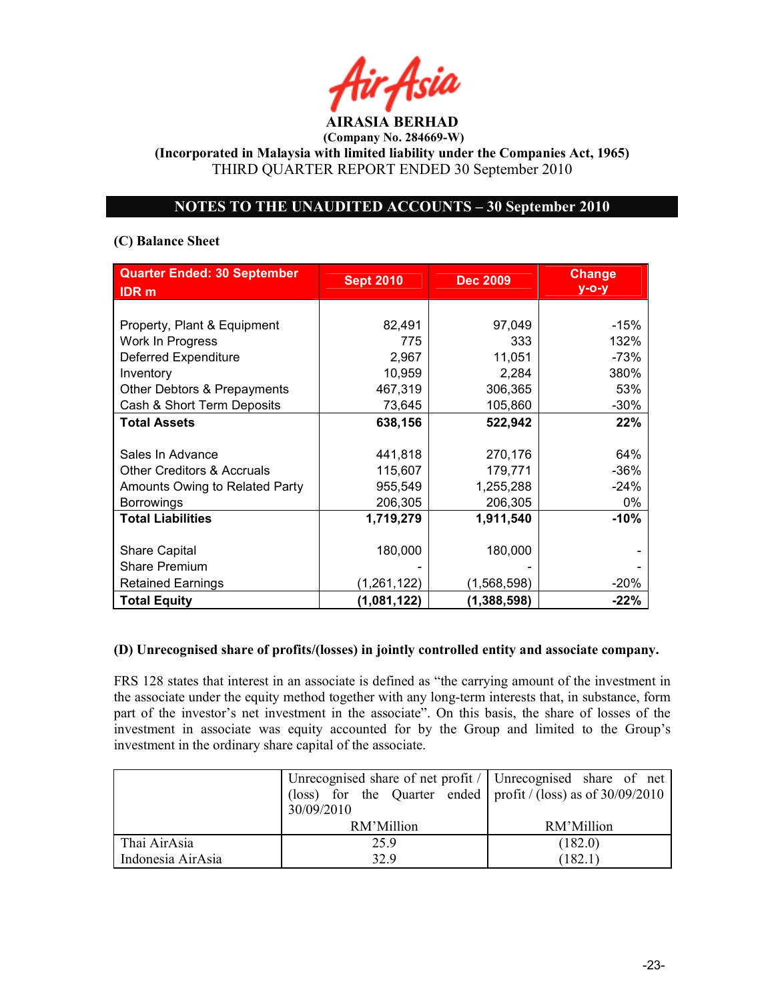AIRASIA BERHAD

(Incorporated in Malaysia with limited liability under the Companies Act, 1965) THIRD QUARTER REPORT ENDED 30 September 2010

# OTES TO THE UAUDITED ACCOUTS – 30 September 2010

# (C) Balance Sheet

| <b>Quarter Ended: 30 September</b><br><b>IDR</b> <sub>m</sub> | <b>Sept 2010</b> | <b>Dec 2009</b> | <b>Change</b><br>$y$ -o-y |
|---------------------------------------------------------------|------------------|-----------------|---------------------------|
|                                                               |                  |                 |                           |
| Property, Plant & Equipment                                   | 82,491           | 97,049          | $-15%$                    |
| Work In Progress                                              | 775              | 333             | 132%                      |
| <b>Deferred Expenditure</b>                                   | 2,967            | 11,051          | $-73%$                    |
| Inventory                                                     | 10,959           | 2,284           | 380%                      |
| Other Debtors & Prepayments                                   | 467,319          | 306,365         | 53%                       |
| Cash & Short Term Deposits                                    | 73,645           | 105,860         | $-30%$                    |
| <b>Total Assets</b>                                           | 638,156          | 522,942         | 22%                       |
|                                                               |                  |                 |                           |
| Sales In Advance                                              | 441,818          | 270,176         | 64%                       |
| Other Creditors & Accruals                                    | 115,607          | 179,771         | $-36%$                    |
| Amounts Owing to Related Party                                | 955,549          | 1,255,288       | $-24%$                    |
| <b>Borrowings</b>                                             | 206,305          | 206,305         | $0\%$                     |
| <b>Total Liabilities</b>                                      | 1,719,279        | 1,911,540       | $-10%$                    |
|                                                               |                  |                 |                           |
| <b>Share Capital</b>                                          | 180,000          | 180,000         |                           |
| <b>Share Premium</b>                                          |                  |                 |                           |
| <b>Retained Earnings</b>                                      | (1,261,122)      | (1,568,598)     | $-20\%$                   |
| <b>Total Equity</b>                                           | (1,081,122)      | (1,388,598)     | $-22%$                    |

# (D) Unrecognised share of profits/(losses) in jointly controlled entity and associate company.

FRS 128 states that interest in an associate is defined as "the carrying amount of the investment in the associate under the equity method together with any long-term interests that, in substance, form part of the investor's net investment in the associate". On this basis, the share of losses of the investment in associate was equity accounted for by the Group and limited to the Group's investment in the ordinary share capital of the associate.

|                   | Unrecognised share of net profit / Unrecognised share of net<br>(loss) for the Quarter ended   profit / (loss) as of $30/09/2010$ |            |
|-------------------|-----------------------------------------------------------------------------------------------------------------------------------|------------|
|                   | 30/09/2010<br>RM'Million                                                                                                          | RM'Million |
| Thai AirAsia      | 25.9                                                                                                                              | (182.0)    |
| Indonesia AirAsia | 32.9                                                                                                                              | (182.1)    |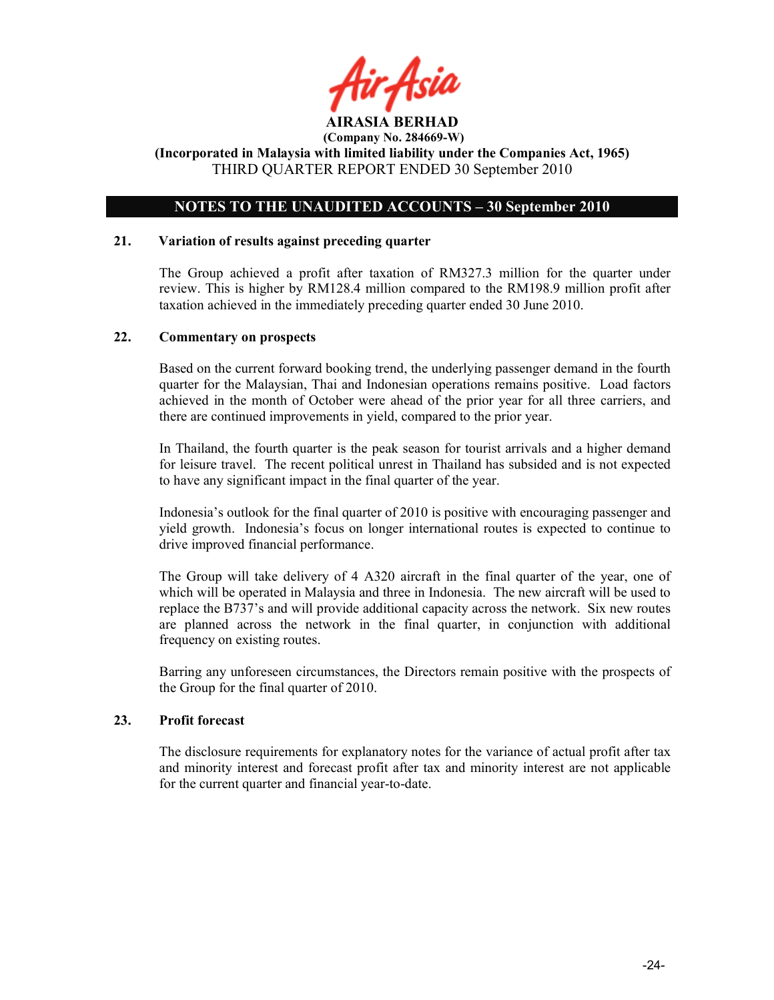

# OTES TO THE UAUDITED ACCOUTS – 30 September 2010

#### 21. Variation of results against preceding quarter

The Group achieved a profit after taxation of RM327.3 million for the quarter under review. This is higher by RM128.4 million compared to the RM198.9 million profit after taxation achieved in the immediately preceding quarter ended 30 June 2010.

#### 22. Commentary on prospects

Based on the current forward booking trend, the underlying passenger demand in the fourth quarter for the Malaysian, Thai and Indonesian operations remains positive. Load factors achieved in the month of October were ahead of the prior year for all three carriers, and there are continued improvements in yield, compared to the prior year.

In Thailand, the fourth quarter is the peak season for tourist arrivals and a higher demand for leisure travel. The recent political unrest in Thailand has subsided and is not expected to have any significant impact in the final quarter of the year.

Indonesia's outlook for the final quarter of 2010 is positive with encouraging passenger and yield growth. Indonesia's focus on longer international routes is expected to continue to drive improved financial performance.

The Group will take delivery of 4 A320 aircraft in the final quarter of the year, one of which will be operated in Malaysia and three in Indonesia. The new aircraft will be used to replace the B737's and will provide additional capacity across the network. Six new routes are planned across the network in the final quarter, in conjunction with additional frequency on existing routes.

Barring any unforeseen circumstances, the Directors remain positive with the prospects of the Group for the final quarter of 2010.

# 23. Profit forecast

The disclosure requirements for explanatory notes for the variance of actual profit after tax and minority interest and forecast profit after tax and minority interest are not applicable for the current quarter and financial year-to-date.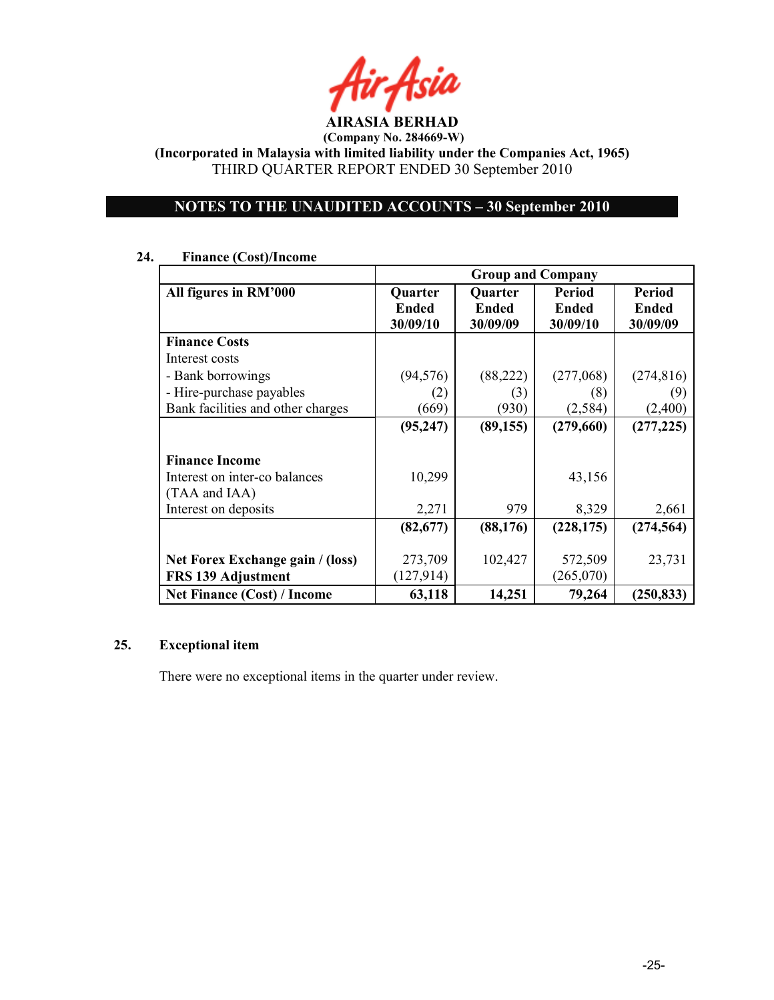

(Incorporated in Malaysia with limited liability under the Companies Act, 1965) THIRD QUARTER REPORT ENDED 30 September 2010

# OTES TO THE UAUDITED ACCOUTS – 30 September 2010

# 24. Finance (Cost)/Income

|                                                                         | <b>Group and Company</b>            |                                     |                             |                                    |
|-------------------------------------------------------------------------|-------------------------------------|-------------------------------------|-----------------------------|------------------------------------|
| All figures in RM'000                                                   | <b>Quarter</b><br>Ended<br>30/09/10 | <b>Quarter</b><br>Ended<br>30/09/09 | Period<br>Ended<br>30/09/10 | Period<br><b>Ended</b><br>30/09/09 |
| <b>Finance Costs</b>                                                    |                                     |                                     |                             |                                    |
| Interest costs                                                          |                                     |                                     |                             |                                    |
| - Bank borrowings                                                       | (94, 576)                           | (88, 222)                           | (277,068)                   | (274, 816)                         |
| - Hire-purchase payables                                                | (2)                                 | (3)                                 | (8)                         | (9)                                |
| Bank facilities and other charges                                       | (669)                               | (930)                               | (2, 584)                    | (2,400)                            |
|                                                                         | (95, 247)                           | (89, 155)                           | (279,660)                   | (277, 225)                         |
| <b>Finance Income</b><br>Interest on inter-co balances<br>(TAA and IAA) | 10,299                              |                                     | 43,156                      |                                    |
| Interest on deposits                                                    | 2,271                               | 979                                 | 8,329                       | 2,661                              |
|                                                                         | (82,677)                            | (88, 176)                           | (228, 175)                  | (274, 564)                         |
| Net Forex Exchange gain / (loss)<br><b>FRS 139 Adjustment</b>           | 273,709<br>(127, 914)               | 102,427                             | 572,509<br>(265,070)        | 23,731                             |
| <b>Net Finance (Cost) / Income</b>                                      | 63,118                              | 14,251                              | 79,264                      | (250, 833)                         |

# 25. Exceptional item

There were no exceptional items in the quarter under review.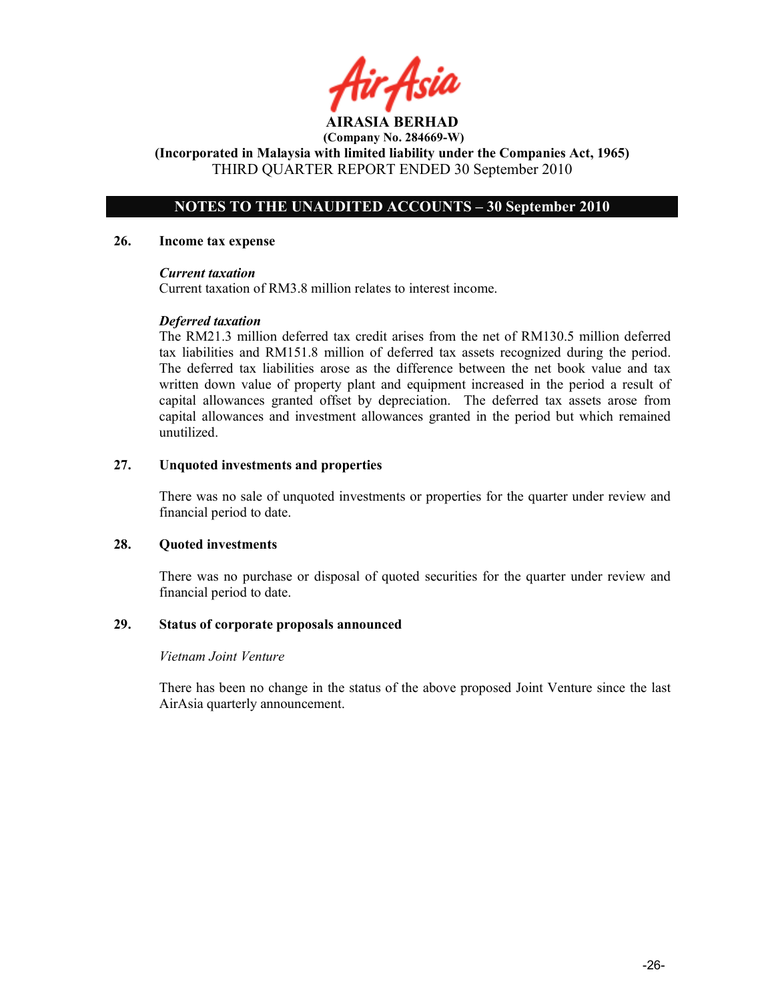r Asid

# OTES TO THE UAUDITED ACCOUTS – 30 September 2010

#### 26. Income tax expense

#### Current taxation

Current taxation of RM3.8 million relates to interest income.

#### Deferred taxation

The RM21.3 million deferred tax credit arises from the net of RM130.5 million deferred tax liabilities and RM151.8 million of deferred tax assets recognized during the period. The deferred tax liabilities arose as the difference between the net book value and tax written down value of property plant and equipment increased in the period a result of capital allowances granted offset by depreciation. The deferred tax assets arose from capital allowances and investment allowances granted in the period but which remained unutilized.

#### 27. Unquoted investments and properties

There was no sale of unquoted investments or properties for the quarter under review and financial period to date.

#### 28. Quoted investments

There was no purchase or disposal of quoted securities for the quarter under review and financial period to date.

#### 29. Status of corporate proposals announced

#### Vietnam Joint Venture

There has been no change in the status of the above proposed Joint Venture since the last AirAsia quarterly announcement.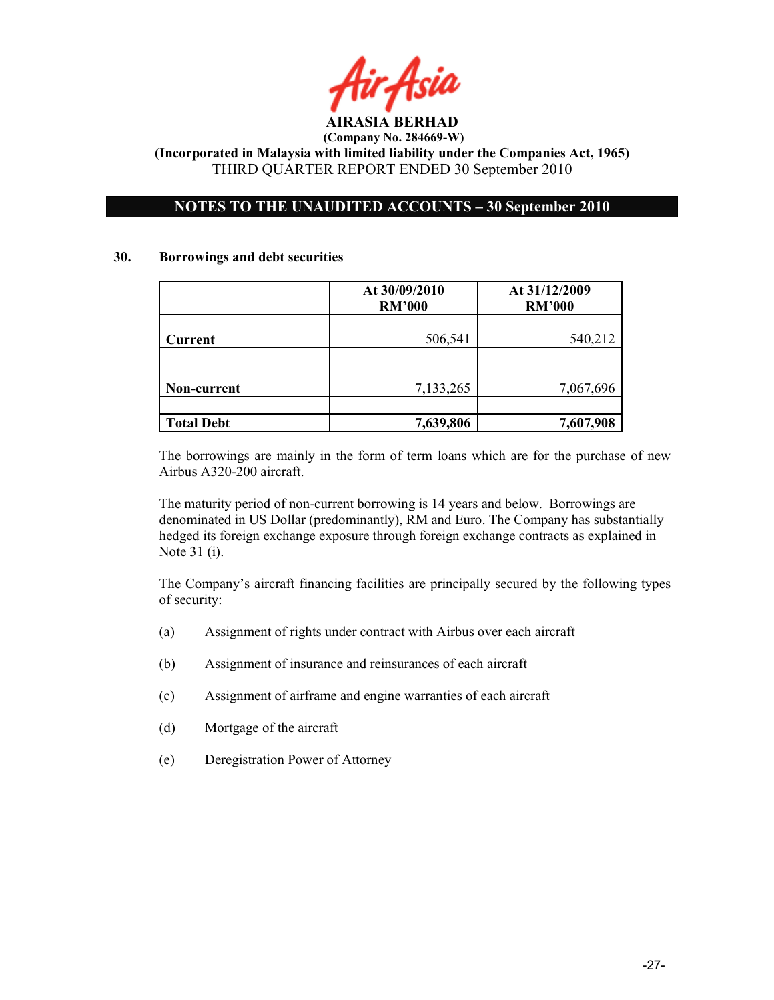

# NOTES TO THE UNAUDITED ACCOUNTS - 30 September 2010

#### 30. Borrowings and debt securities

|                   | At 30/09/2010<br><b>RM'000</b> | At 31/12/2009<br><b>RM'000</b> |
|-------------------|--------------------------------|--------------------------------|
| Current           | 506,541                        | 540,212                        |
|                   |                                |                                |
| Non-current       | 7,133,265                      | 7,067,696                      |
|                   |                                |                                |
| <b>Total Debt</b> | 7,639,806                      | 7,607,908                      |

The borrowings are mainly in the form of term loans which are for the purchase of new Airbus A320-200 aircraft.

The maturity period of non-current borrowing is 14 years and below. Borrowings are denominated in US Dollar (predominantly), RM and Euro. The Company has substantially hedged its foreign exchange exposure through foreign exchange contracts as explained in Note 31 (i).

The Company's aircraft financing facilities are principally secured by the following types of security:

- (a) Assignment of rights under contract with Airbus over each aircraft
- (b) Assignment of insurance and reinsurances of each aircraft
- (c) Assignment of airframe and engine warranties of each aircraft
- (d) Mortgage of the aircraft
- (e) Deregistration Power of Attorney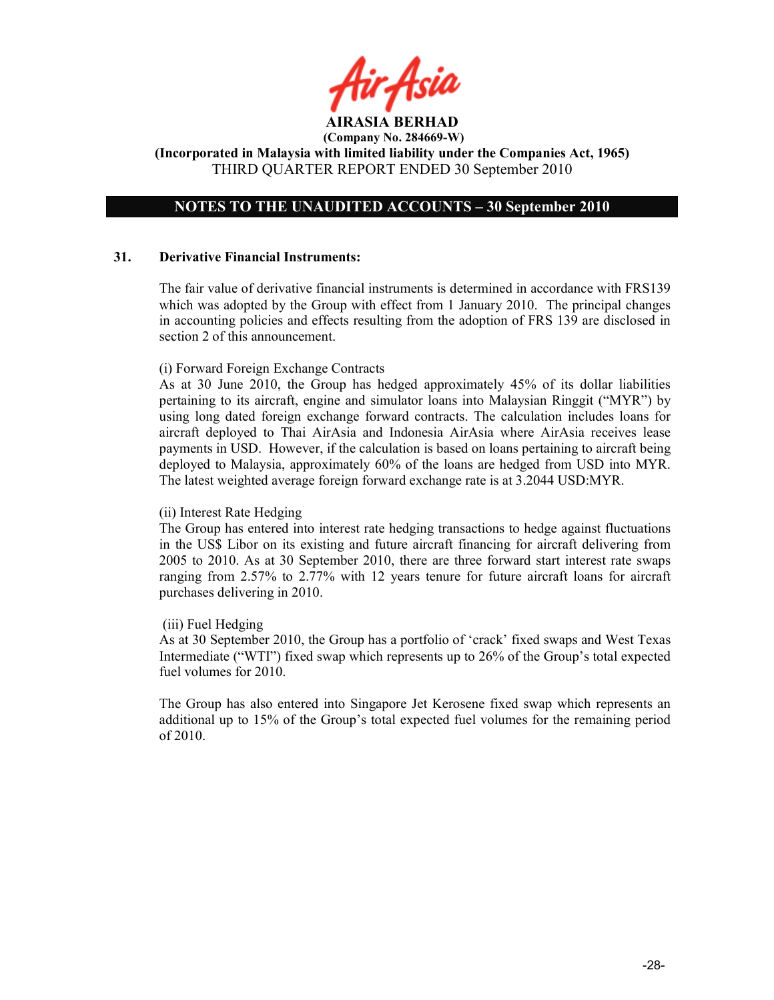AIRASIA BERHAD

# OTES TO THE UAUDITED ACCOUTS – 30 September 2010

#### 31. Derivative Financial Instruments:

The fair value of derivative financial instruments is determined in accordance with FRS139 which was adopted by the Group with effect from 1 January 2010. The principal changes in accounting policies and effects resulting from the adoption of FRS 139 are disclosed in section 2 of this announcement.

#### (i) Forward Foreign Exchange Contracts

As at 30 June 2010, the Group has hedged approximately 45% of its dollar liabilities pertaining to its aircraft, engine and simulator loans into Malaysian Ringgit ("MYR") by using long dated foreign exchange forward contracts. The calculation includes loans for aircraft deployed to Thai AirAsia and Indonesia AirAsia where AirAsia receives lease payments in USD. However, if the calculation is based on loans pertaining to aircraft being deployed to Malaysia, approximately 60% of the loans are hedged from USD into MYR. The latest weighted average foreign forward exchange rate is at 3.2044 USD:MYR.

#### (ii) Interest Rate Hedging

The Group has entered into interest rate hedging transactions to hedge against fluctuations in the US\$ Libor on its existing and future aircraft financing for aircraft delivering from 2005 to 2010. As at 30 September 2010, there are three forward start interest rate swaps ranging from 2.57% to 2.77% with 12 years tenure for future aircraft loans for aircraft purchases delivering in 2010.

# (iii) Fuel Hedging

As at 30 September 2010, the Group has a portfolio of 'crack' fixed swaps and West Texas Intermediate ("WTI") fixed swap which represents up to 26% of the Group's total expected fuel volumes for 2010.

The Group has also entered into Singapore Jet Kerosene fixed swap which represents an additional up to 15% of the Group's total expected fuel volumes for the remaining period of 2010.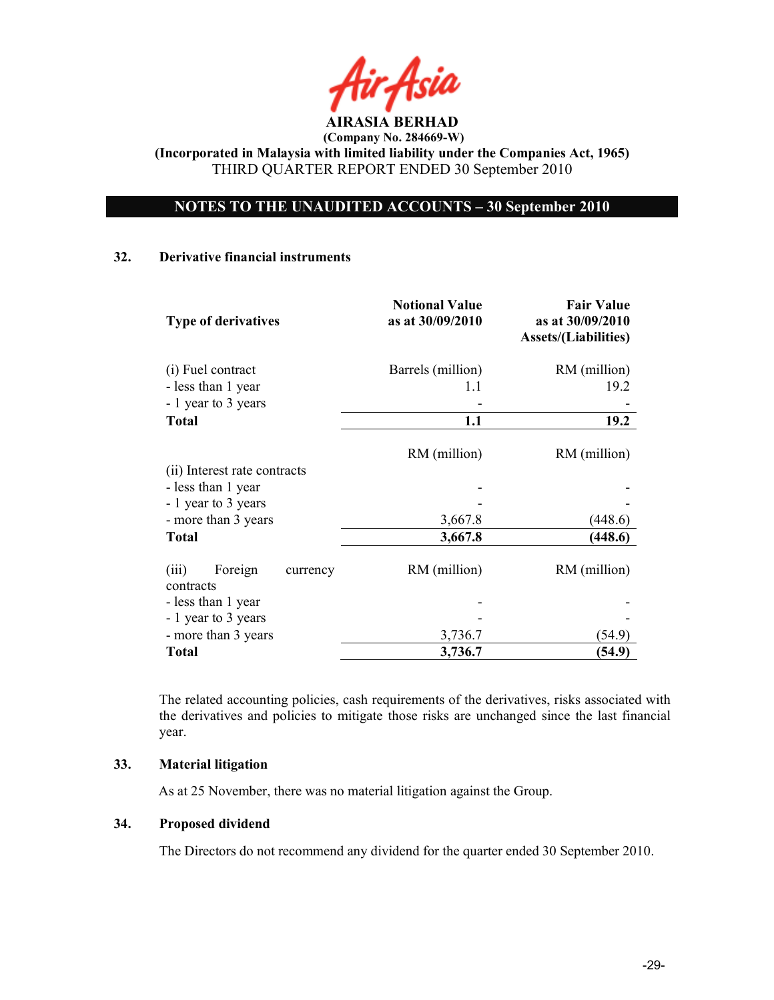

# OTES TO THE UAUDITED ACCOUTS – 30 September 2010

#### 32. Derivative financial instruments

| <b>Type of derivatives</b>                | <b>Notional Value</b><br>as at 30/09/2010 | <b>Fair Value</b><br>as at 30/09/2010<br><b>Assets/(Liabilities)</b> |
|-------------------------------------------|-------------------------------------------|----------------------------------------------------------------------|
| (i) Fuel contract                         | Barrels (million)                         | RM (million)                                                         |
| - less than 1 year                        | 1.1                                       | 19.2                                                                 |
| - 1 year to 3 years                       |                                           |                                                                      |
| <b>Total</b>                              | 1.1                                       | 19.2                                                                 |
| (ii) Interest rate contracts              | RM (million)                              | RM (million)                                                         |
| - less than 1 year                        |                                           |                                                                      |
| - 1 year to 3 years                       |                                           |                                                                      |
| - more than 3 years                       | 3,667.8                                   | (448.6)                                                              |
| <b>Total</b>                              | 3,667.8                                   | (448.6)                                                              |
| Foreign<br>(iii)<br>currency<br>contracts | RM (million)                              | RM (million)                                                         |
| - less than 1 year                        |                                           |                                                                      |
| - 1 year to 3 years                       |                                           |                                                                      |
| - more than 3 years                       | 3,736.7                                   | (54.9`                                                               |
| <b>Total</b>                              | 3,736.7                                   | (54.9)                                                               |

The related accounting policies, cash requirements of the derivatives, risks associated with the derivatives and policies to mitigate those risks are unchanged since the last financial year.

# 33. Material litigation

As at 25 November, there was no material litigation against the Group.

#### 34. Proposed dividend

The Directors do not recommend any dividend for the quarter ended 30 September 2010.